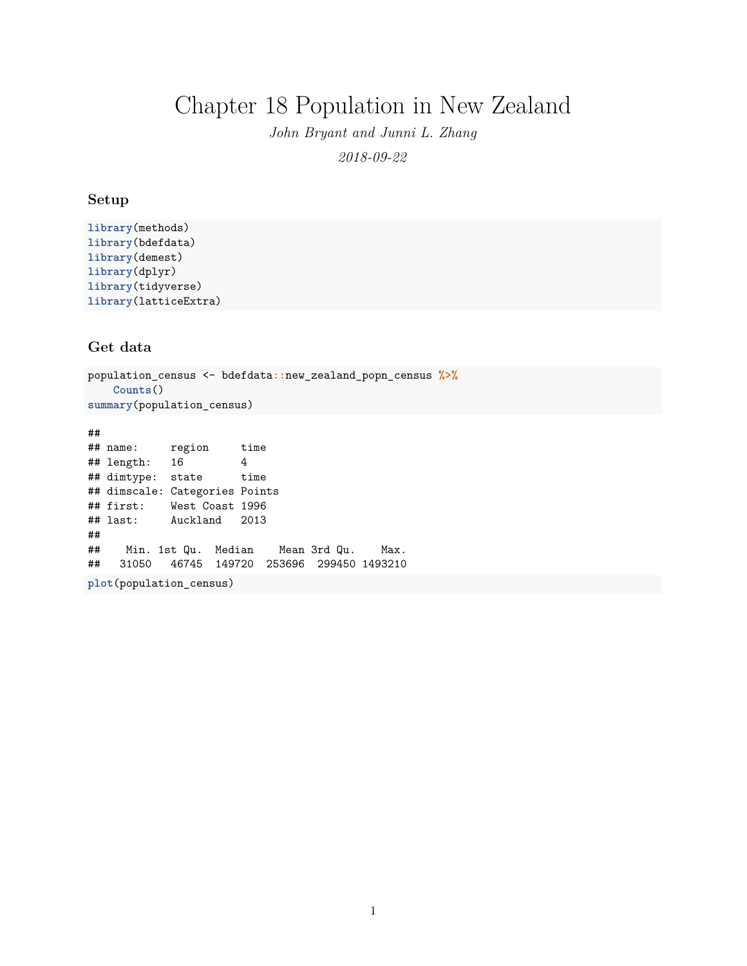# Chapter 18 Population in New Zealand

*John Bryant and Junni L. Zhang 2018-09-22*

### **Setup**

```
library(methods)
library(bdefdata)
library(demest)
library(dplyr)
library(tidyverse)
library(latticeExtra)
```
## **Get data**

population\_census <- bdefdata**::**new\_zealand\_popn\_census **%>% Counts**() **summary**(population\_census)

## ## name: region time ## length: 16 4 ## dimtype: state time ## dimscale: Categories Points ## first: West Coast 1996 ## last: Auckland 2013 ## ## Min. 1st Qu. Median Mean 3rd Qu. Max. ## 31050 46745 149720 253696 299450 1493210 **plot**(population\_census)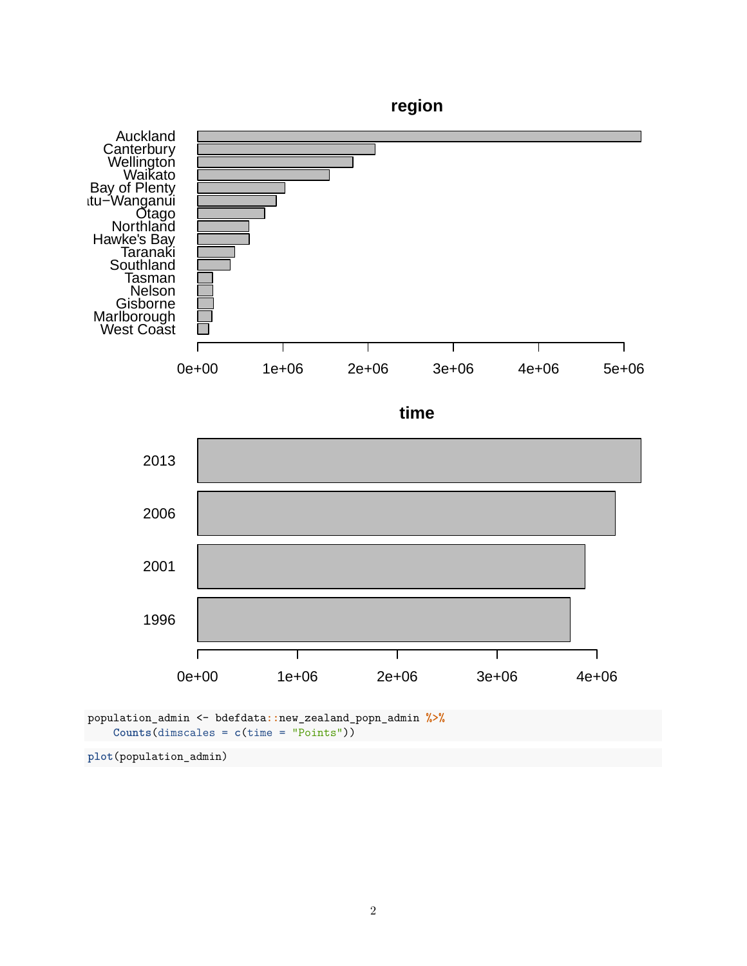

population\_admin <- bdefdata**::**new\_zealand\_popn\_admin **%>% Counts**(dimscales = **c**(time = "Points"))

**plot**(population\_admin)

0e+00 1e+06 2e+06 3e+06 4e+06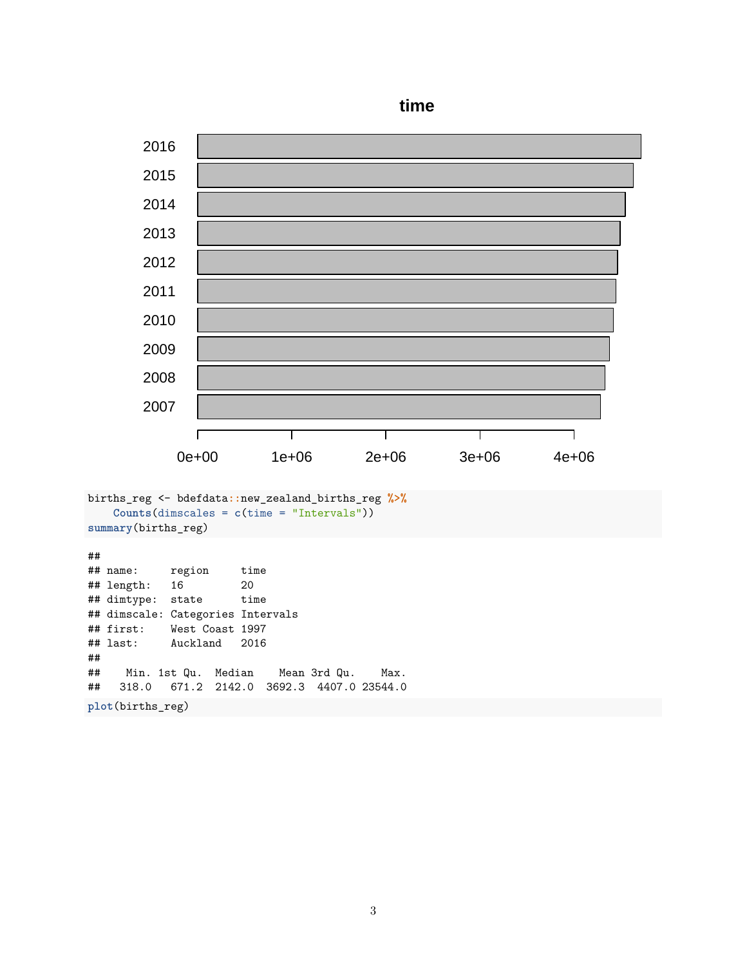

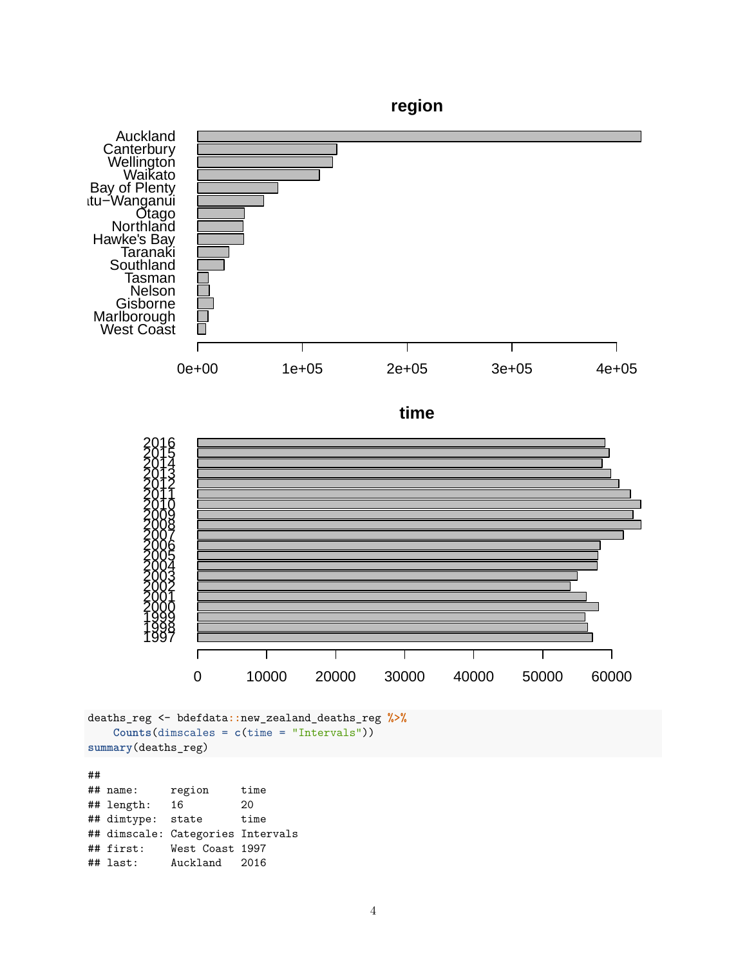

## ## name: region time ## length: 16 20 ## dimtype: state time ## dimscale: Categories Intervals ## first: West Coast 1997 Auckland 2016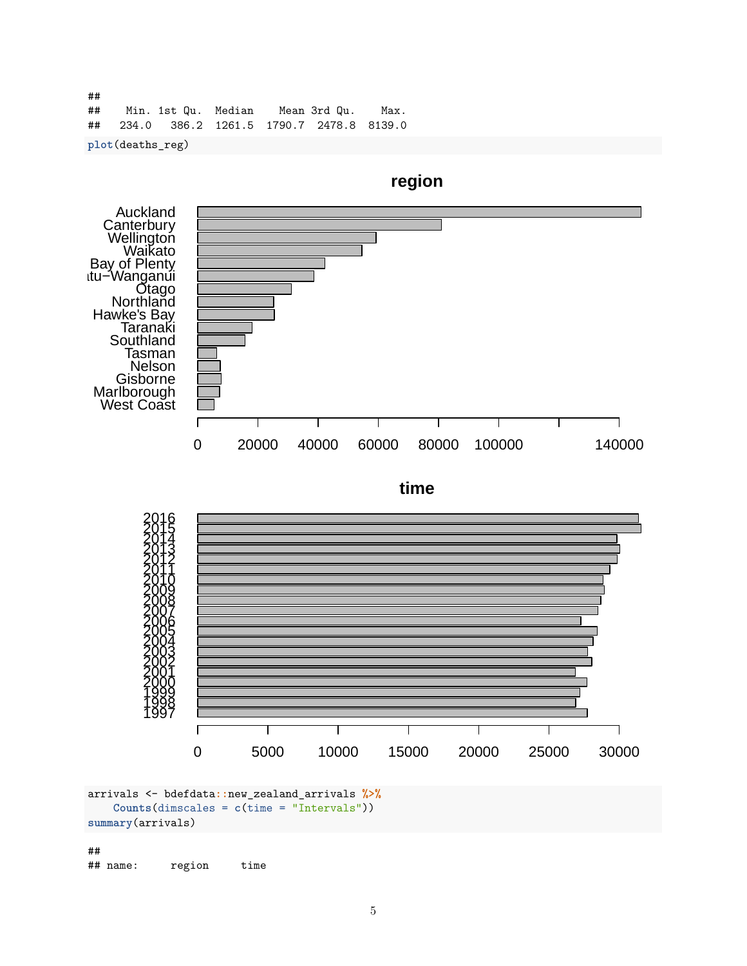## ## Min. 1st Qu. Median Mean 3rd Qu. Max. ## 234.0 386.2 1261.5 1790.7 2478.8 8139.0

**plot**(deaths\_reg)



**summary**(arrivals)

## ## name: region time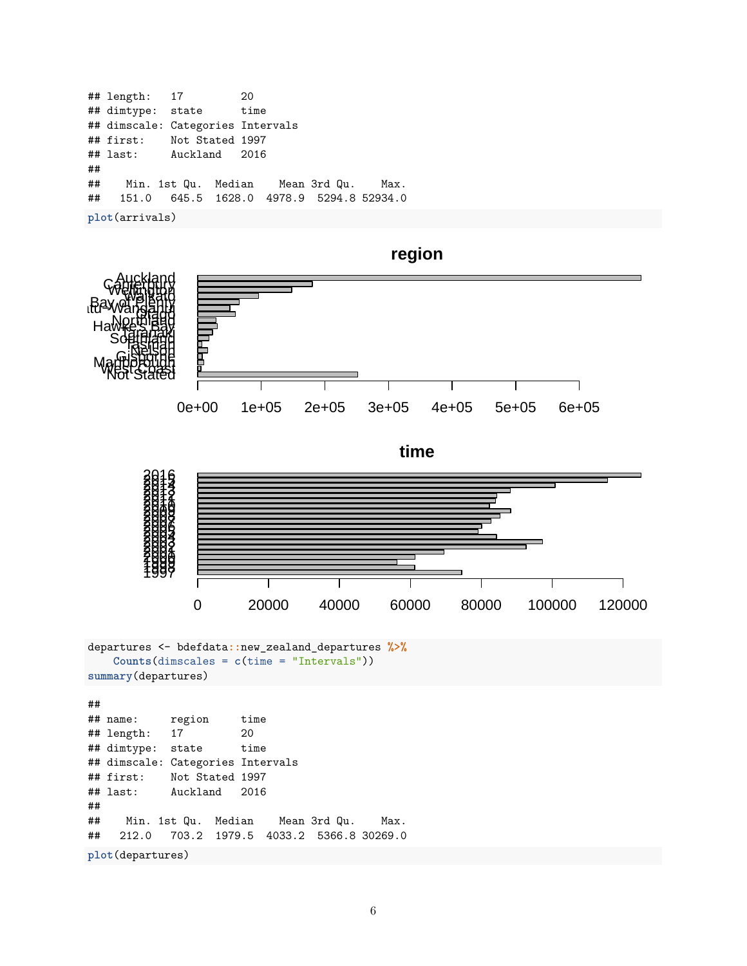|    | ## length: 17                               |  |  | 20 |  |  |  |
|----|---------------------------------------------|--|--|----|--|--|--|
|    | ## dimtype: state time                      |  |  |    |  |  |  |
|    | ## dimscale: Categories Intervals           |  |  |    |  |  |  |
|    | ## first: Not Stated 1997                   |  |  |    |  |  |  |
|    | ## last: Auckland 2016                      |  |  |    |  |  |  |
| ## |                                             |  |  |    |  |  |  |
|    | ## Min. 1st Qu. Median Mean 3rd Qu. Max.    |  |  |    |  |  |  |
|    | ## 151.0 645.5 1628.0 4978.9 5294.8 52934.0 |  |  |    |  |  |  |
|    | plot(arrivals)                              |  |  |    |  |  |  |

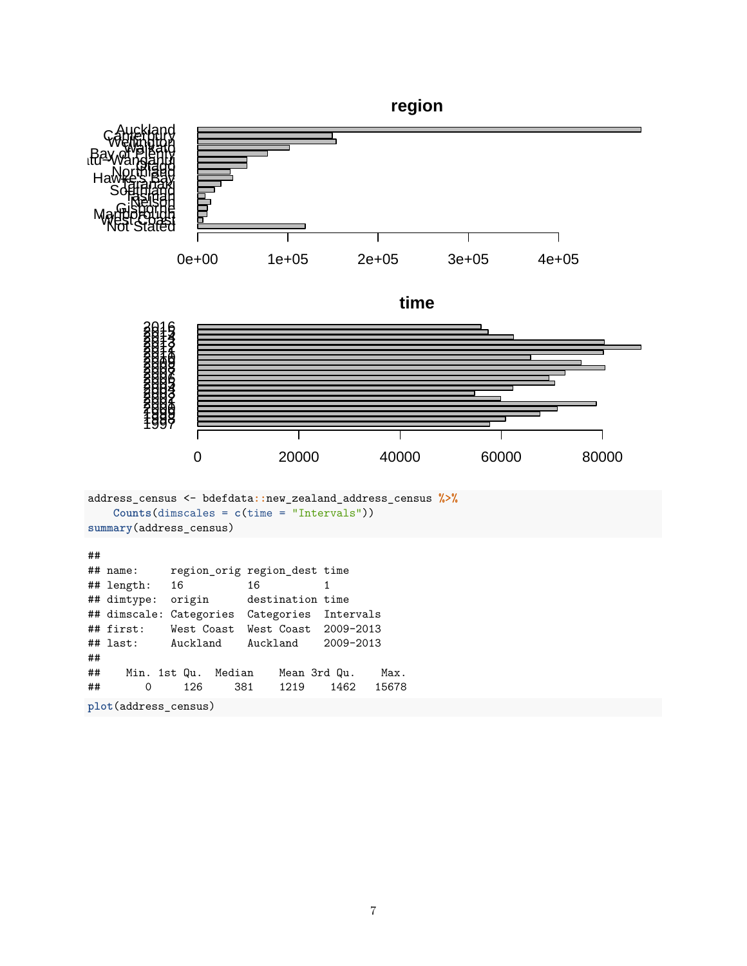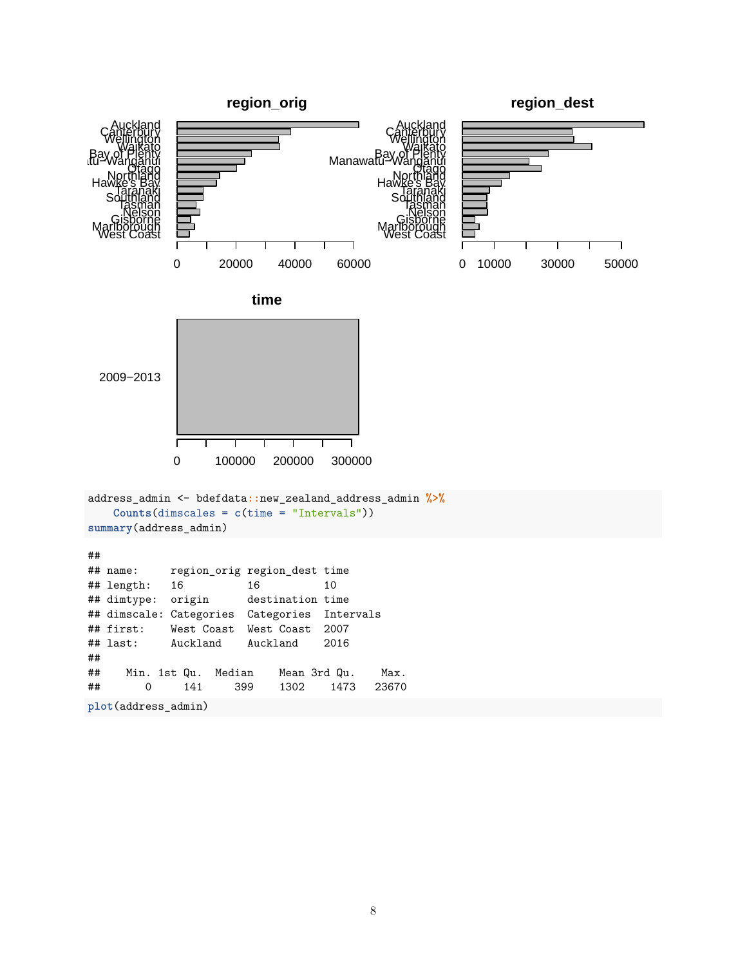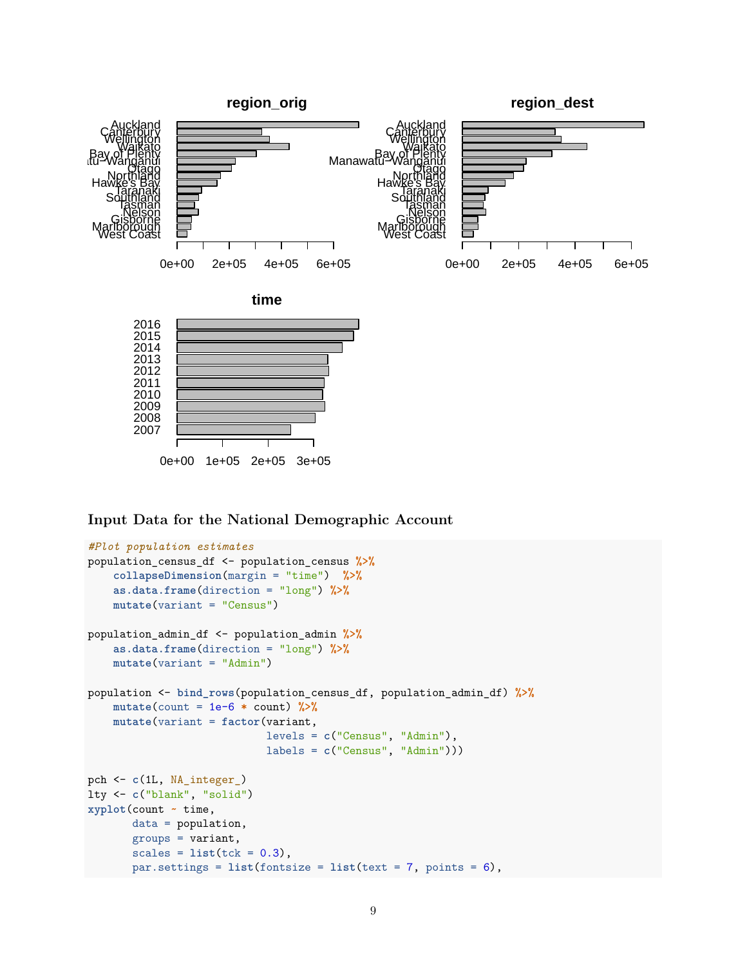

**Input Data for the National Demographic Account**

```
#Plot population estimates
population_census_df <- population_census %>%
    collapseDimension(margin = "time") %>%
    as.data.frame(direction = "long") %>%
    mutate(variant = "Census")
population_admin_df <- population_admin %>%
    as.data.frame(direction = "long") %>%
    mutate(variant = "Admin")
population <- bind_rows(population_census_df, population_admin_df) %>%
    mutate(count = 1e-6 * count) \frac{9}{2}\%mutate(variant = factor(variant,
                            levels = c("Census", "Admin"),
                            labels = c("Census", "Admin")))
pch <- c(1L, NA_integer_)
lty <- c("blank", "solid")
xyplot(count ~ time,
       data = population,
       groups = variant,
       scales = list(tck = 0.3),
       par.settings = list(fontsize = list(text = 7, points = 6),
```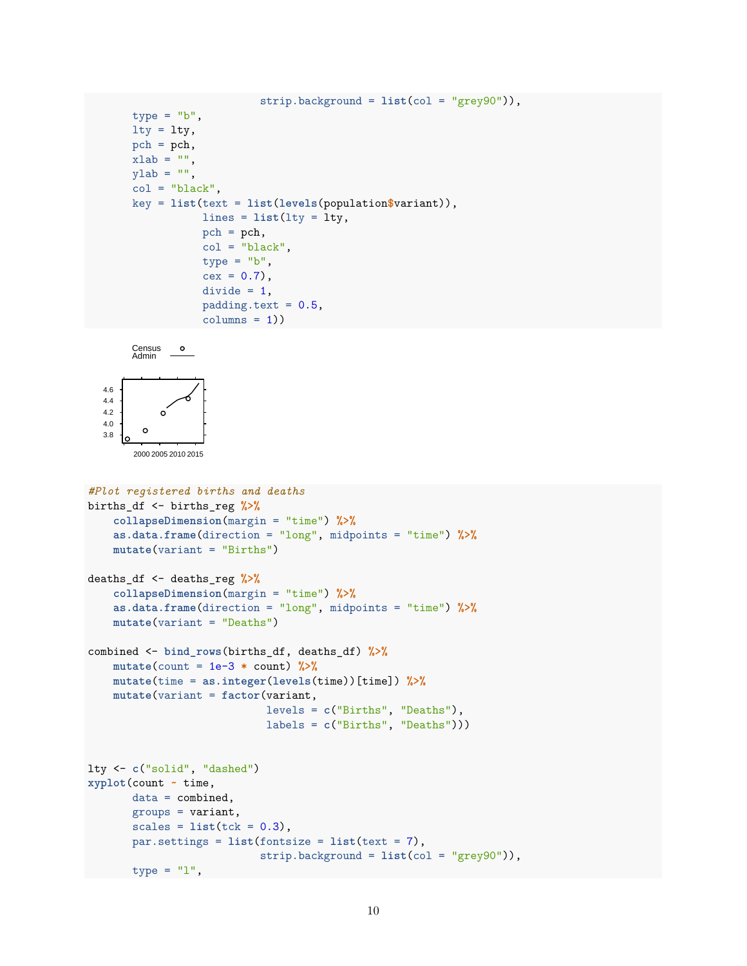```
strip.background = list(col = "grey90")),
type = "b",
lty = lty,pch = pch,
xlab = "",
ylab = "",
col = "black",key = list(text = list(levels(population$variant)),
           lines = list(lty = lty,pch = pch,
           col = "black",type = "b",
           cex = 0.7,
           divide = 1,
           padding.text = 0.5,
           columns = 1)
```




```
#Plot registered births and deaths
births_df <- births_reg %>%
    collapseDimension(margin = "time") %>%
    as.data.frame(direction = "long", midpoints = "time") %>%
    mutate(variant = "Births")
deaths_df <- deaths_reg %>%
    collapseDimension(margin = "time") %>%
    as.data.frame(direction = "long", midpoints = "time") %>%
    mutate(variant = "Deaths")
combined <- bind_rows(births_df, deaths_df) %>%
    mutate(count = 1e-3 * count) %>%
    mutate(time = as.integer(levels(time))[time]) %>%
    mutate(variant = factor(variant,
                            levels = c("Births", "Deaths"),
                            labels = c("Births", "Deaths")))
lty <- c("solid", "dashed")
xyplot(count ~ time,
       data = combined,
       groups = variant,
       scales = list(tck = 0.3),
       par.settings = list(fontsize = list(text = 7),
                           strip.background = list(col = "grey90")),
      type = "l",
```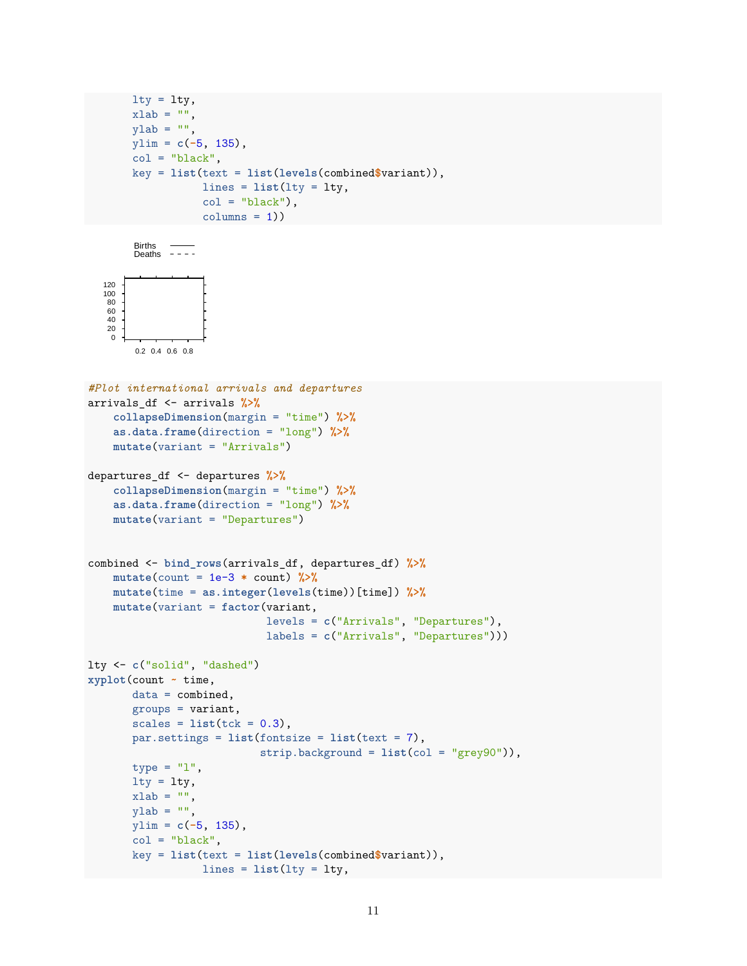```
lty = lty,xlab = "",
ylab = "",
ylim = c(-5, 135),
col = "black",key = list(text = list(levels(combined$variant)),
          lines = list(lty = lty,
           col = "black",columns = 1)
```

```
Births
Deaths
```


ylim = **c**(**-**5, 135),  $col = "black",$ 

```
#Plot international arrivals and departures
arrivals_df <- arrivals %>%
   collapseDimension(margin = "time") %>%
   as.data.frame(direction = "long") %>%
   mutate(variant = "Arrivals")
departures_df <- departures %>%
   collapseDimension(margin = "time") %>%
   as.data.frame(direction = "long") %>%
   mutate(variant = "Departures")
combined <- bind_rows(arrivals_df, departures_df) %>%
   mutate(count = 1e-3 * count) %>%
   mutate(time = as.integer(levels(time))[time]) %>%
   mutate(variant = factor(variant,
                            levels = c("Arrivals", "Departures"),
                            labels = c("Arrivals", "Departures")))
lty <- c("solid", "dashed")
xyplot(count ~ time,
      data = combined,groups = variant,
      scales = list(tck = 0.3),par.settings = list(fontsize = list(text = 7),
                           strip.background = list(col = "grey90")),
      type = "1",
      lty = lty,xlab = "",
      ylab = "",
```
key = **list**(text = **list**(**levels**(combined**\$**variant)), lines = **list**(lty = lty,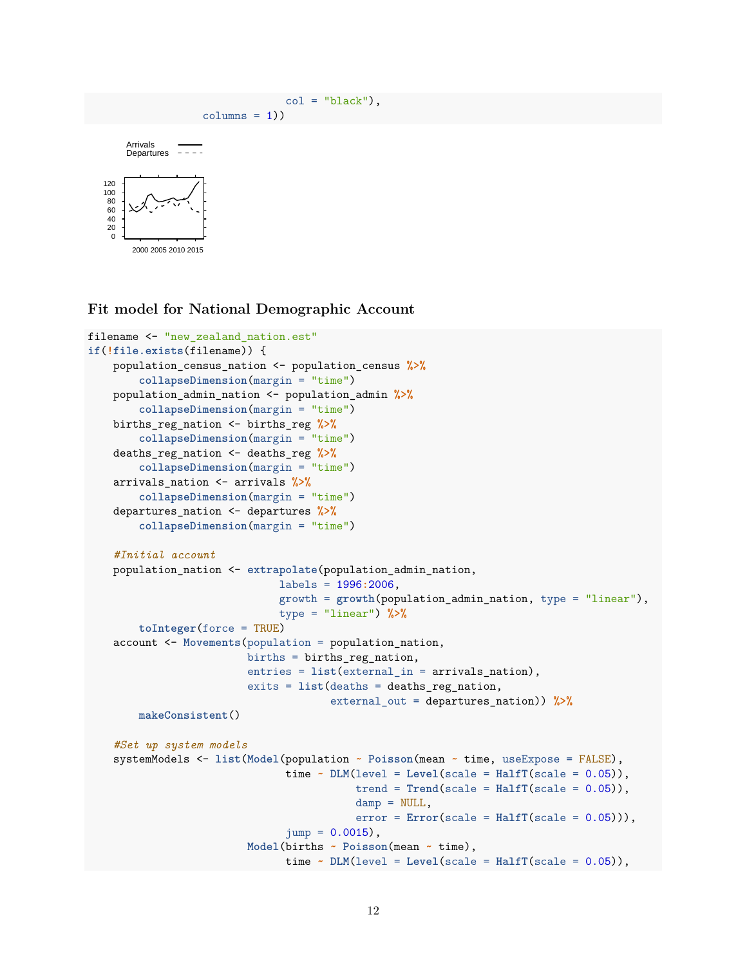```
col = "black"),
                           columns = 1)\Omega20
 40
60
 80
100
120
        2000 2005 2010 2015
      Arrivals
      Departures \overline{\phantom{1}- - -}
```
#### **Fit model for National Demographic Account**

```
filename <- "new_zealand_nation.est"
if(!file.exists(filename)) {
   population_census_nation <- population_census %>%
        collapseDimension(margin = "time")
   population_admin_nation <- population_admin %>%
        collapseDimension(margin = "time")
   births_reg_nation <- births_reg %>%
        collapseDimension(margin = "time")
   deaths_reg_nation <- deaths_reg %>%
        collapseDimension(margin = "time")
   arrivals_nation <- arrivals %>%
        collapseDimension(margin = "time")
   departures_nation <- departures %>%
        collapseDimension(margin = "time")
    #Initial account
   population_nation <- extrapolate(population_admin_nation,
                              labels = 1996:2006,
                              growth = growth(population_admin_nation, type = "linear"),
                              type = "linear") %>%
        toInteger(force = TRUE)
    account <- Movements(population = population_nation,
                         births = births_reg_nation,
                         entries = list(external_in = arrivals_nation),
                         exits = list(deaths = deaths_reg_nation,
                                      external_out = departures_nation)) %>%
        makeConsistent()
    #Set up system models
    systemModels <- list(Model(population ~ Poisson(mean ~ time, useExpose = FALSE),
                               time \sim DLM(level = Level(scale = HalfT(scale = 0.05)),trend = Trend(scale = HalfT(scale = 0.05)),damp = NULL,
                                          error = Error(scale = Half(scale = 0.05))),
                               jump = 0.0015,
                         Model(births ~ Poisson(mean ~ time),
                               time \sim DLM(level = Level(scale = HalfT(scale = 0.05)),
```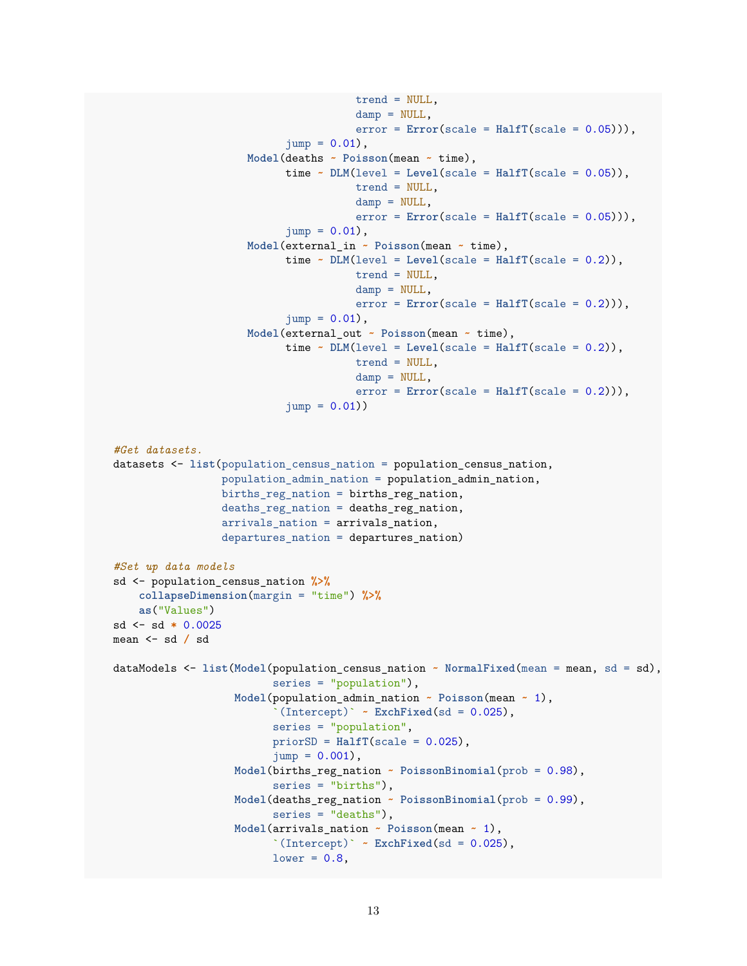```
trend = NULL,
                                       damp = NULL,
                                       error = Error(scale = Half(scale = 0.05))),
                            jump = 0.01,
                     Model(deaths ~ Poisson(mean ~ time),
                           time \sim DLM(level = Level(scale = HalfT(scale = 0.05)),trend = NULL,
                                       damp = NULL,error = Error(scale = Half(scale = 0.05))),jump = 0.01,
                     Model(external_in ~ Poisson(mean ~ time),
                           time \sim DLM(level = Level(scale = HalfT(scale = 0.2)),trend = NULL,
                                       damp = NULL,error = Error(scale = Half(scale = 0.2)),
                           \text{jump} = 0.01.
                     Model(external_out ~ Poisson(mean ~ time),
                           time \sim DLM(level = Level(scale = HalfT(scale = 0.2)),trend = NULL,
                                       damp = NULL,error = Error(scale = Half(scale = 0.2)),
                            jump = 0.01)#Get datasets.
datasets <- list(population_census_nation = population_census_nation,
                 population_admin_nation = population_admin_nation,
                 births_reg_nation = births_reg_nation,
                 deaths_reg_nation = deaths_reg_nation,
                 arrivals_nation = arrivals_nation,
                 departures_nation = departures_nation)
#Set up data models
sd <- population_census_nation %>%
    collapseDimension(margin = "time") %>%
    as("Values")
sd <- sd * 0.0025
mean <- sd / sd
dataModels <- list(Model(population_census_nation ~ NormalFixed(mean = mean, sd = sd),
                         series = "population"),
                   Model(population_admin_nation ~ Poisson(mean ~ 1),
                          \Gamma(Intercept)\Gamma ~ ExchFixed(sd = 0.025),
                         series = "population",
                         priorSD = HalfT(scale = 0.025),
                         jump = 0.001,
                   Model(births_reg_nation ~ PoissonBinomial(prob = 0.98),
                          series = "births"),
                   Model(deaths_reg_nation ~ PoissonBinomial(prob = 0.99),
                         series = "deaths"),
                   Model(arrivals_nation ~ Poisson(mean ~ 1),
                          \Gamma(Intercept)\Gamma ~ ExchFixed(sd = 0.025),
                         lower = 0.8,
```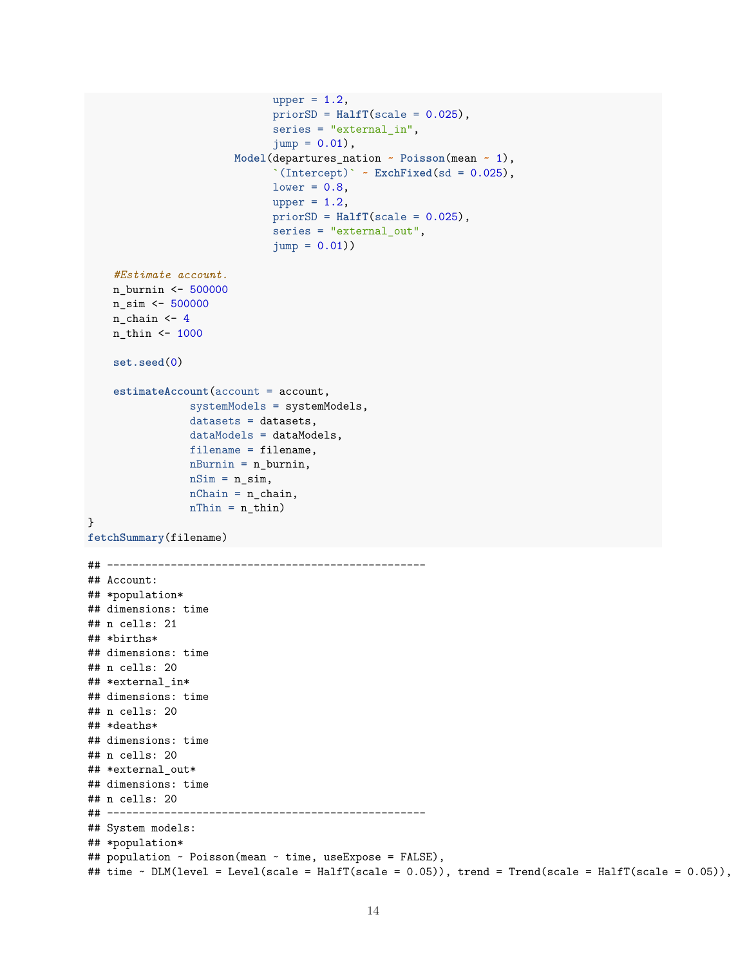```
upper = 1.2,
                              priorSD = HalfT(scale = 0.025),
                              series = "external_in",
                              jump = 0.01,
                        Model(departures_nation ~ Poisson(mean ~ 1),
                              \Gamma(Intercept)\Gamma ~ ExchFixed(sd = 0.025),
                              lower = 0.8,
                              upper = 1.2,
                              priorSD = HalfT(scale = 0.025),
                              series = "external_out",
                              jump = 0.01)#Estimate account.
    n_burnin <- 500000
    n_sim <- 500000
    n chain \leftarrow 4
    n_thin <- 1000
    set.seed(0)
    estimateAccount(account = account,
                systemModels = systemModels,
                datasets = datasets,
                dataModels = dataModels,
                filename = filename,
                nBurnin = n_burnin,
                nSim = n_sim,nChain = n_{chain},
                nThin = n_thin)}
fetchSummary(filename)
## --------------------------------------------------
## Account:
## *population*
## dimensions: time
## n cells: 21
## *births*
## dimensions: time
## n cells: 20
## *external_in*
## dimensions: time
## n cells: 20
## *deaths*
## dimensions: time
## n cells: 20
## *external out*
## dimensions: time
## n cells: 20
## --------------------------------------------------
## System models:
## *population*
## population ~ Poisson(mean ~ time, useExpose = FALSE),
## time ~ DLM(level = Level(scale = HalfT(scale = 0.05)), trend = Trend(scale = HalfT(scale = 0.05)),
```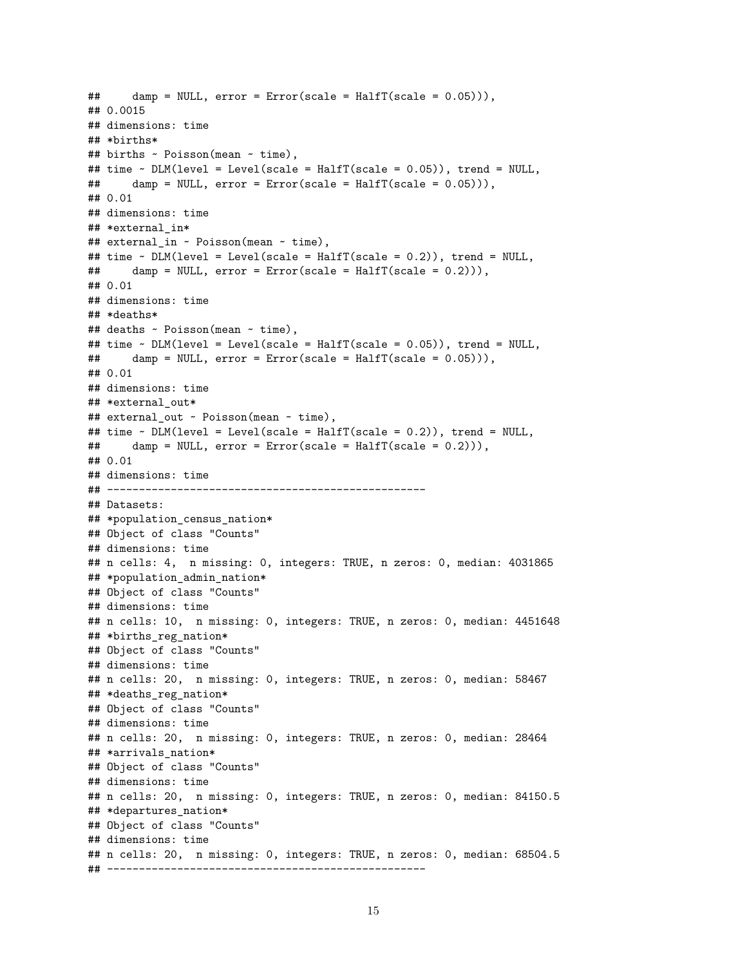```
## damp = NULL, error = Error(scale = HalfT(scale = 0.05))),
## 0.0015
## dimensions: time
## *births*
## births ~ Poisson(mean ~ time),
## time ~ DLM(level = Level(scale = HalfT(scale = 0.05)), trend = NULL,
## damp = NULL, error = Error(scale = HalfT(scale = 0.05))),
## 0.01
## dimensions: time
## *external_in*
## external_in ~ Poisson(mean ~ time),
## time \sim DLM(level = Level(scale = HalfT(scale = 0.2)), trend = NULL,
## damp = NULL, error = Error(scale = HalfT(scale = 0.2))),
## 0.01
## dimensions: time
## *deaths*
## deaths ~ Poisson(mean ~ time),
## time ~ DLM(level = Level(scale = HalfT(scale = 0.05)), trend = NULL,
## damp = NULL, error = Error(scale = HalfT(scale = 0.05))),
## 0.01
## dimensions: time
## *external out*
## external_out ~ Poisson(mean ~ time),
## time ~ DLM(level = Level(scale = HalfT(scale = 0.2)), trend = NULL,
## damp = NULL, error = Error(scale = HalfT(scale = 0.2))),
## 0.01
## dimensions: time
## --------------------------------------------------
## Datasets:
## *population_census_nation*
## Object of class "Counts"
## dimensions: time
## n cells: 4, n missing: 0, integers: TRUE, n zeros: 0, median: 4031865
## *population_admin_nation*
## Object of class "Counts"
## dimensions: time
## n cells: 10, n missing: 0, integers: TRUE, n zeros: 0, median: 4451648
## *births_reg_nation*
## Object of class "Counts"
## dimensions: time
## n cells: 20, n missing: 0, integers: TRUE, n zeros: 0, median: 58467
## *deaths_reg_nation*
## Object of class "Counts"
## dimensions: time
## n cells: 20, n missing: 0, integers: TRUE, n zeros: 0, median: 28464
## *arrivals_nation*
## Object of class "Counts"
## dimensions: time
## n cells: 20, n missing: 0, integers: TRUE, n zeros: 0, median: 84150.5
## *departures_nation*
## Object of class "Counts"
## dimensions: time
## n cells: 20, n missing: 0, integers: TRUE, n zeros: 0, median: 68504.5
## --------------------------------------------------
```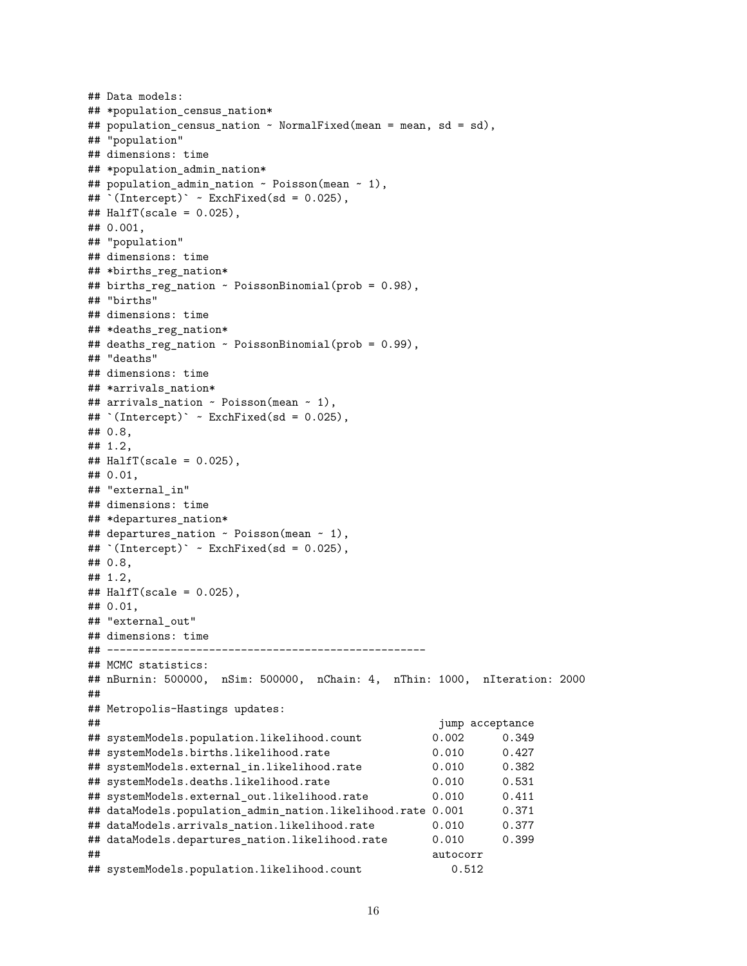```
## Data models:
## *population_census_nation*
## population_census_nation ~ NormalFixed(mean = mean, sd = sd),
## "population"
## dimensions: time
## *population admin nation*
## population_admin_nation ~ Poisson(mean ~ 1),
## `(Intercept)` ~ ExchFixed(sd = 0.025),
\texttt{\#}\# HalfT(scale = 0.025),
## 0.001,
## "population"
## dimensions: time
## *births_reg_nation*
## births_reg_nation ~ PoissonBinomial(prob = 0.98),
## "births"
## dimensions: time
## *deaths_reg_nation*
## deaths reg nation \sim PoissonBinomial(prob = 0.99),
## "deaths"
## dimensions: time
## *arrivals_nation*
## arrivals_nation ~ Poisson(mean ~ 1),
## `(Intercept)` ~ ExchFixed(sd = 0.025),
## 0.8,
## 1.2,
## HalfT(scale = 0.025),
## 0.01,
## "external_in"
## dimensions: time
## *departures_nation*
## departures_nation ~ Poisson(mean ~ 1),
## `(Intercept)` ~ ExchFixed(sd = 0.025),
## 0.8,
## 1.2,
\# HalfT(scale = 0.025),
## 0.01,
## "external out"
## dimensions: time
## --------------------------------------------------
## MCMC statistics:
## nBurnin: 500000, nSim: 500000, nChain: 4, nThin: 1000, nIteration: 2000
##
## Metropolis-Hastings updates:
## jump acceptance
## systemModels.population.likelihood.count 0.002 0.349
## systemModels.births.likelihood.rate 0.010 0.427
## systemModels.external_in.likelihood.rate 0.010 0.382
## systemModels.deaths.likelihood.rate 0.010 0.531
## systemModels.external_out.likelihood.rate 0.010 0.411
## dataModels.population_admin_nation.likelihood.rate 0.001 0.371
## dataModels.arrivals_nation.likelihood.rate 0.010 0.377
## dataModels.departures_nation.likelihood.rate 0.010 0.399
## autocorr
## systemModels.population.likelihood.count 0.512
```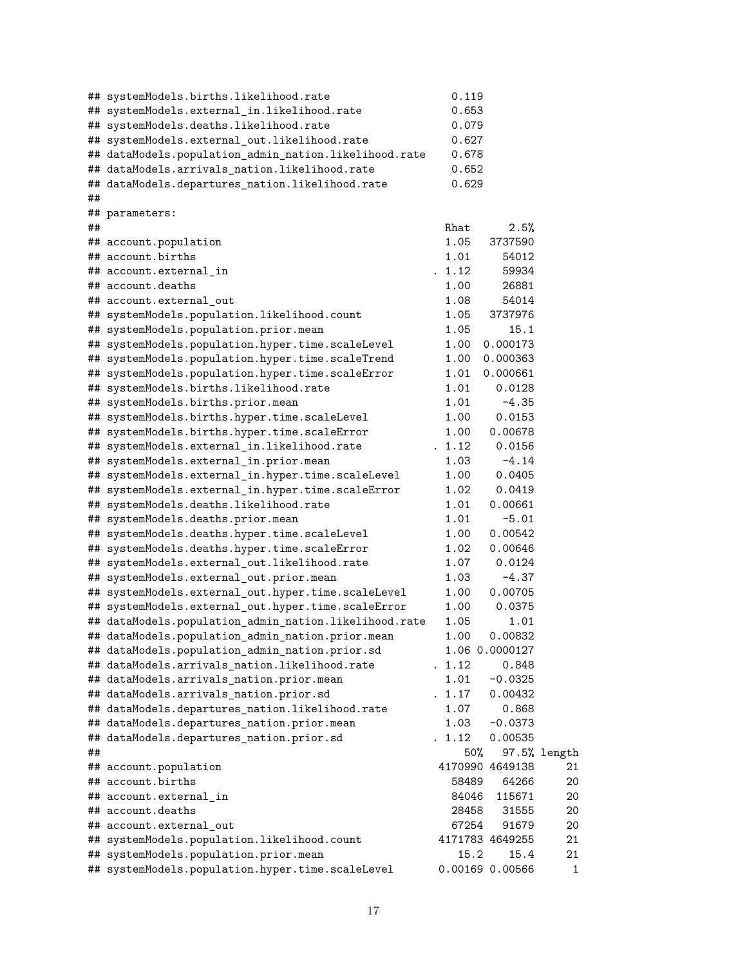|    | ## systemModels.births.likelihood.rate                                 | 0.119          |                          |              |
|----|------------------------------------------------------------------------|----------------|--------------------------|--------------|
|    | ## systemModels.external_in.likelihood.rate                            | 0.653          |                          |              |
|    | ## systemModels.deaths.likelihood.rate                                 | 0.079          |                          |              |
|    | ## systemModels.external_out.likelihood.rate                           | 0.627          |                          |              |
|    | ## dataModels.population_admin_nation.likelihood.rate                  | 0.678          |                          |              |
|    | ## dataModels.arrivals_nation.likelihood.rate                          | 0.652          |                          |              |
|    | ## dataModels.departures_nation.likelihood.rate                        | 0.629          |                          |              |
| ## |                                                                        |                |                          |              |
|    | ## parameters:                                                         |                |                          |              |
| ## |                                                                        | Rhat           | 2.5%                     |              |
|    | ## account.population                                                  | 1.05           | 3737590                  |              |
|    | ## account.births                                                      | 1.01           | 54012                    |              |
|    | ## account.external in                                                 | . 1.12         | 59934                    |              |
|    | ## account.deaths                                                      | 1.00           | 26881                    |              |
|    | ## account.external_out                                                | 1.08           | 54014                    |              |
|    | ## systemModels.population.likelihood.count                            | 1.05           | 3737976                  |              |
|    | ## systemModels.population.prior.mean                                  | 1.05           | 15.1                     |              |
|    | ## systemModels.population.hyper.time.scaleLevel                       | 1.00           | 0.000173                 |              |
|    | ## systemModels.population.hyper.time.scaleTrend                       | 1.00           | 0.000363                 |              |
|    | ## systemModels.population.hyper.time.scaleError                       | 1.01           | 0.000661                 |              |
|    | ## systemModels.births.likelihood.rate                                 | 1.01           | 0.0128                   |              |
|    | ## systemModels.births.prior.mean                                      | 1.01           | $-4.35$                  |              |
|    | ## systemModels.births.hyper.time.scaleLevel                           | 1.00           | 0.0153                   |              |
|    | ## systemModels.births.hyper.time.scaleError                           | 1.00           | 0.00678                  |              |
|    | ## systemModels.external_in.likelihood.rate                            | . 1.12         | 0.0156                   |              |
|    | ## systemModels.external_in.prior.mean                                 | 1.03           | $-4.14$                  |              |
|    | ## systemModels.external_in.hyper.time.scaleLevel                      | 1.00           | 0.0405                   |              |
|    | ## systemModels.external_in.hyper.time.scaleError                      | 1.02           | 0.0419                   |              |
|    | ## systemModels.deaths.likelihood.rate                                 | 1.01           | 0.00661                  |              |
|    | ## systemModels.deaths.prior.mean                                      | 1.01           | $-5.01$                  |              |
|    | ## systemModels.deaths.hyper.time.scaleLevel                           | 1.00           | 0.00542                  |              |
|    | ## systemModels.deaths.hyper.time.scaleError                           | 1.02           | 0.00646                  |              |
|    | ## systemModels.external_out.likelihood.rate                           | 1.07           | 0.0124                   |              |
|    | ## systemModels.external_out.prior.mean                                | 1.03           | $-4.37$                  |              |
|    | ## systemModels.external_out.hyper.time.scaleLevel                     | 1.00           | 0.00705                  |              |
|    | ## systemModels.external_out.hyper.time.scaleError                     | 1.00           | 0.0375                   |              |
|    | ## dataModels.population_admin_nation.likelihood.rate                  | 1.05           | 1.01                     |              |
|    | ## dataModels.population_admin_nation.prior.mean                       | 1.00           | 0.00832                  |              |
|    | ## dataModels.population_admin_nation.prior.sd                         |                | 1.06 0.0000127           |              |
|    | ## dataModels.arrivals_nation.likelihood.rate                          | . 1.12         | 0.848                    |              |
|    | ## dataModels.arrivals_nation.prior.mean                               | 1.01           | $-0.0325$                |              |
|    | ## dataModels.arrivals_nation.prior.sd                                 | . 1.17         | 0.00432                  |              |
|    | ## dataModels.departures_nation.likelihood.rate                        | 1.07           | 0.868                    |              |
|    | ## dataModels.departures_nation.prior.mean                             | 1.03           | $-0.0373$                |              |
|    | ## dataModels.departures_nation.prior.sd                               | . 1.12         | 0.00535                  |              |
| ## |                                                                        | 50%            |                          | 97.5% length |
|    | ## account.population                                                  |                | 4170990 4649138          | 21           |
|    | ## account.births                                                      |                |                          |              |
|    |                                                                        | 58489<br>84046 | 64266                    | 20           |
|    | ## account.external_in<br>## account.deaths                            | 28458          | 115671                   | 20           |
|    |                                                                        |                | 31555                    | 20           |
|    | ## account.external_out<br>## systemModels.population.likelihood.count | 67254          | 91679<br>4171783 4649255 | 20<br>21     |
|    |                                                                        | 15.2           | 15.4                     | 21           |
|    | ## systemModels.population.prior.mean                                  |                |                          |              |
|    | ## systemModels.population.hyper.time.scaleLevel                       |                | 0.00169 0.00566          | 1            |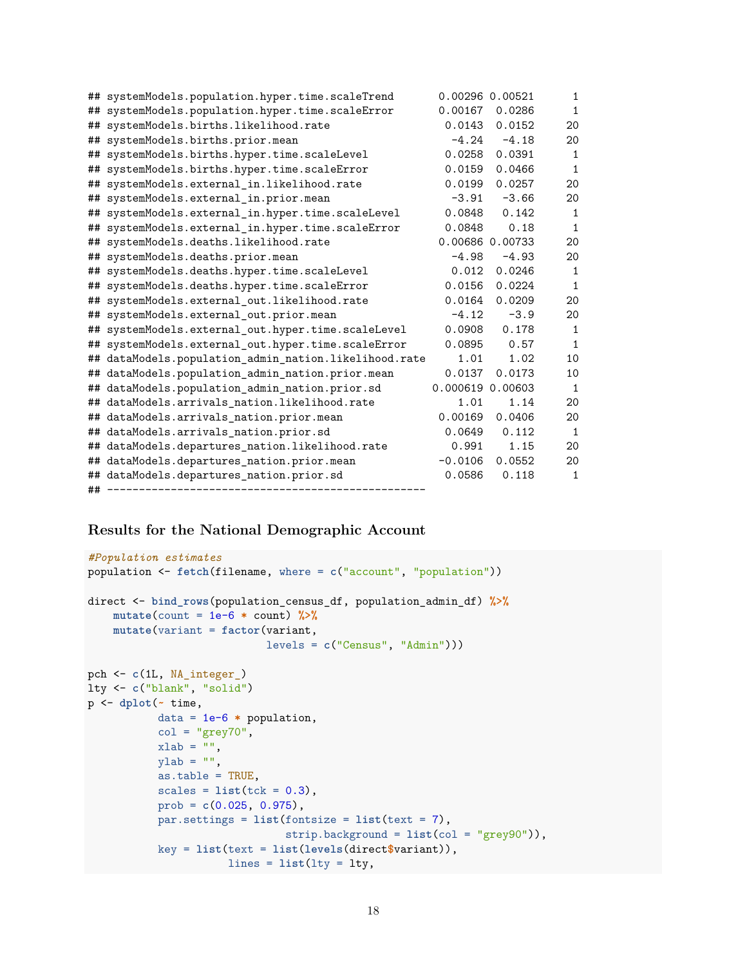|    | ## systemModels.population.hyper.time.scaleTrend      |                  | 0.00296 0.00521 | $\mathbf{1}$ |
|----|-------------------------------------------------------|------------------|-----------------|--------------|
|    | ## systemModels.population.hyper.time.scaleError      | 0.00167          | 0.0286          | $\mathbf{1}$ |
|    | ## systemModels.births.likelihood.rate                | 0.0143           | 0.0152          | 20           |
|    | ## systemModels.births.prior.mean                     | $-4.24$          | $-4.18$         | 20           |
|    | ## systemModels.births.hyper.time.scaleLevel          | 0.0258           | 0.0391          | $\mathbf 1$  |
|    | ## systemModels.births.hyper.time.scaleError          | 0.0159           | 0.0466          | $\mathbf{1}$ |
|    | ## systemModels.external_in.likelihood.rate           | 0.0199           | 0.0257          | 20           |
|    | ## systemModels.external_in.prior.mean                | $-3.91$          | $-3.66$         | 20           |
|    | ## systemModels.external_in.hyper.time.scaleLevel     | 0.0848           | 0.142           | $\mathbf{1}$ |
|    | ## systemModels.external_in.hyper.time.scaleError     | 0.0848           | 0.18            | 1            |
|    | ## systemModels.deaths.likelihood.rate                |                  | 0.00686 0.00733 | 20           |
|    | ## systemModels.deaths.prior.mean                     | $-4.98$          | $-4.93$         | 20           |
|    | ## systemModels.deaths.hyper.time.scaleLevel          | 0.012            | 0.0246          | $\mathbf{1}$ |
|    | ## systemModels.deaths.hyper.time.scaleError          | 0.0156           | 0.0224          | $\mathbf{1}$ |
|    | ## systemModels.external out.likelihood.rate          | 0.0164           | 0.0209          | 20           |
|    | ## systemModels.external_out.prior.mean               | $-4.12$          | $-3.9$          | 20           |
|    | ## systemModels.external_out.hyper.time.scaleLevel    | 0.0908           | 0.178           | $\mathbf{1}$ |
|    | ## systemModels.external_out.hyper.time.scaleError    | 0.0895           | 0.57            | $\mathbf{1}$ |
|    | ## dataModels.population_admin_nation.likelihood.rate | 1.01             | 1.02            | 10           |
|    | ## dataModels.population_admin_nation.prior.mean      | 0.0137           | 0.0173          | 10           |
|    | ## dataModels.population_admin_nation.prior.sd        | 0.000619 0.00603 |                 | $\mathbf{1}$ |
|    | ## dataModels.arrivals_nation.likelihood.rate         | 1.01             | 1.14            | 20           |
|    | ## dataModels.arrivals_nation.prior.mean              | 0.00169          | 0.0406          | 20           |
|    | ## dataModels.arrivals_nation.prior.sd                | 0.0649           | 0.112           | $\mathbf{1}$ |
| ## | dataModels.departures_nation.likelihood.rate          | 0.991            | 1.15            | 20           |
|    | ## dataModels.departures_nation.prior.mean            | $-0.0106$        | 0.0552          | 20           |
|    | ## dataModels.departures_nation.prior.sd              | 0.0586           | 0.118           | $\mathbf{1}$ |
|    |                                                       |                  |                 |              |

# **Results for the National Demographic Account**

```
#Population estimates
population <- fetch(filename, where = c("account", "population"))
direct <- bind_rows(population_census_df, population_admin_df) %>%
    mutate(count = 1e-6 * count) %>%
    mutate(variant = factor(variant,
                           levels = c("Census", "Admin")))
pch <- c(1L, NA_integer_)
lty <- c("blank", "solid")
p <- dplot(~ time,
           data = 1e-6 * population,
           col = "grey70",xlab = "",
           ylab = "",
           as.table = TRUE,
           scales = list(tck = 0.3),
           prob = c(0.025, 0.975),
           par.settings = list(fontsize = list(text = 7),
                              strip.background = list(col = "grey90")),
           key = list(text = list(levels(direct$variant)),
                     lines = list(lty = lty,
```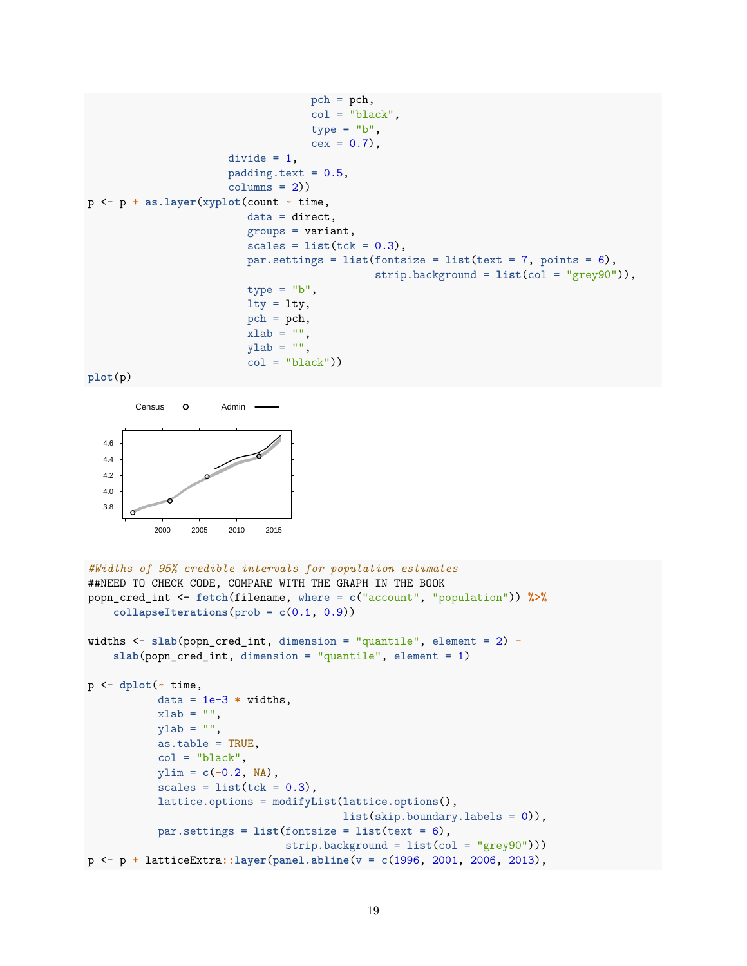```
pch = pch,
                                   col = "black",type = "b",cex = 0.7,
                      divide = 1,
                      padding.text = 0.5,
                      columns = 2)p <- p + as.layer(xyplot(count ~ time,
                         data = direct,
                         groups = variant,
                         scales = list(tck = 0.3),
                         par.settings = list(fontsize = list(text = 7, points = 6),
                                              strip.background = list(col = "grey90")),
                         type = "b",lty = lty,pch = pch,
                         xlab = "",
                         ylab = "",
                         col = "black"))
plot(p)
```


```
#Widths of 95% credible intervals for population estimates
##NEED TO CHECK CODE, COMPARE WITH THE GRAPH IN THE BOOK
popn_cred_int <- fetch(filename, where = c("account", "population")) %>%
    collapselterations(prob = c(0.1, 0.9))
```

```
widths <- slab(popn_cred_int, dimension = "quantile", element = 2) -
    slab(popn_cred_int, dimension = "quantile", element = 1)
```

```
p <- dplot(~ time,
           data = 1e-3 * widths,
           xlab = "",
           ylab = "",
           as.table = TRUE,
           col = "black",ylim = c(-0.2, NA),
           scales = list(tck = 0.3),lattice.options = modifyList(lattice.options(),
                                        list(skip.boundary.labels = 0)),
           par.settings = list(fontsize = list(text = 6),
                               strip.background = list(col = "grey90")))
p <- p + latticeExtra::layer(panel.abline(v = c(1996, 2001, 2006, 2013),
```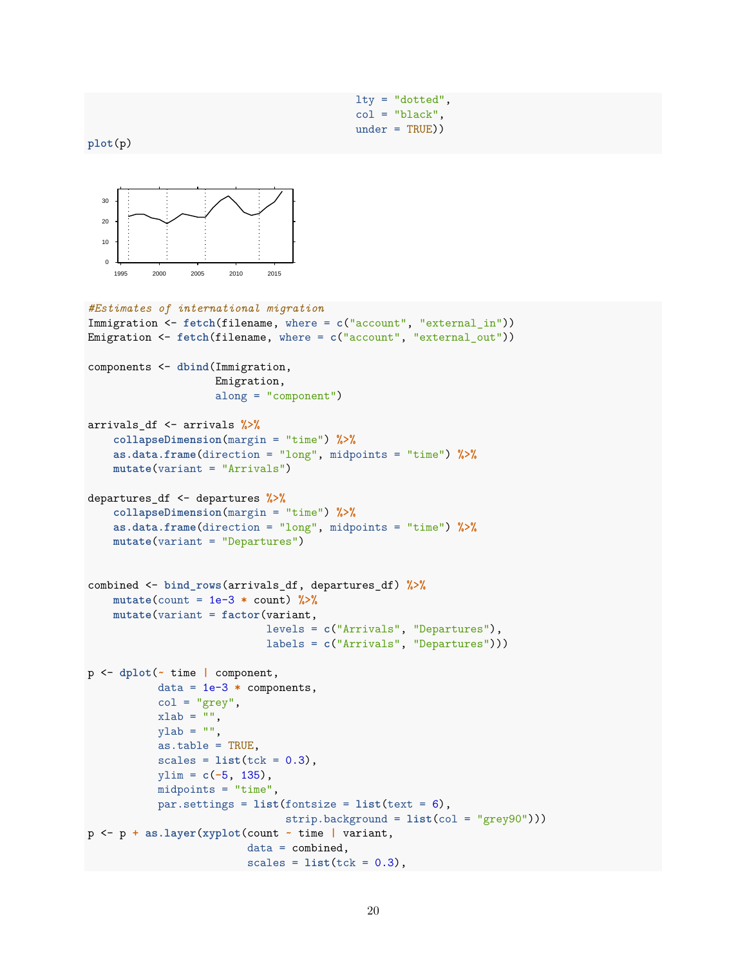```
lty = "dotted",
col = "black",under = TRUE))
```
**plot**(p)



```
#Estimates of international migration
Immigration <- fetch(filename, where = c("account", "external_in"))
Emigration <- fetch(filename, where = c("account", "external_out"))
components <- dbind(Immigration,
                    Emigration,
                    along = "component")
arrivals_df <- arrivals %>%
    collapseDimension(margin = "time") %>%
    as.data.frame(direction = "long", midpoints = "time") %>%
    mutate(variant = "Arrivals")
departures_df <- departures %>%
    collapseDimension(margin = "time") %>%
    as.data.frame(direction = "long", midpoints = "time") %>%
    mutate(variant = "Departures")
combined <- bind_rows(arrivals_df, departures_df) %>%
    mutate(count = 1e-3 * count) %>%
    mutate(variant = factor(variant,
                            levels = c("Arrivals", "Departures"),
                            labels = c("Arrivals", "Departures")))
p <- dplot(~ time | component,
           data = 1e-3 * components,
           col = "grey",xlab = "",
           ylab = "",
           as.table = TRUE,
           scales = list(tck = 0.3),
           ylim = c(-5, 135),
           midpoints = "time",
           par.settings = list(fontsize = list(text = 6),
                               strip.background = list(col = "grey90")))
p <- p + as.layer(xyplot(count ~ time | variant,
                         data = combined,scales = list(tck = 0.3),
```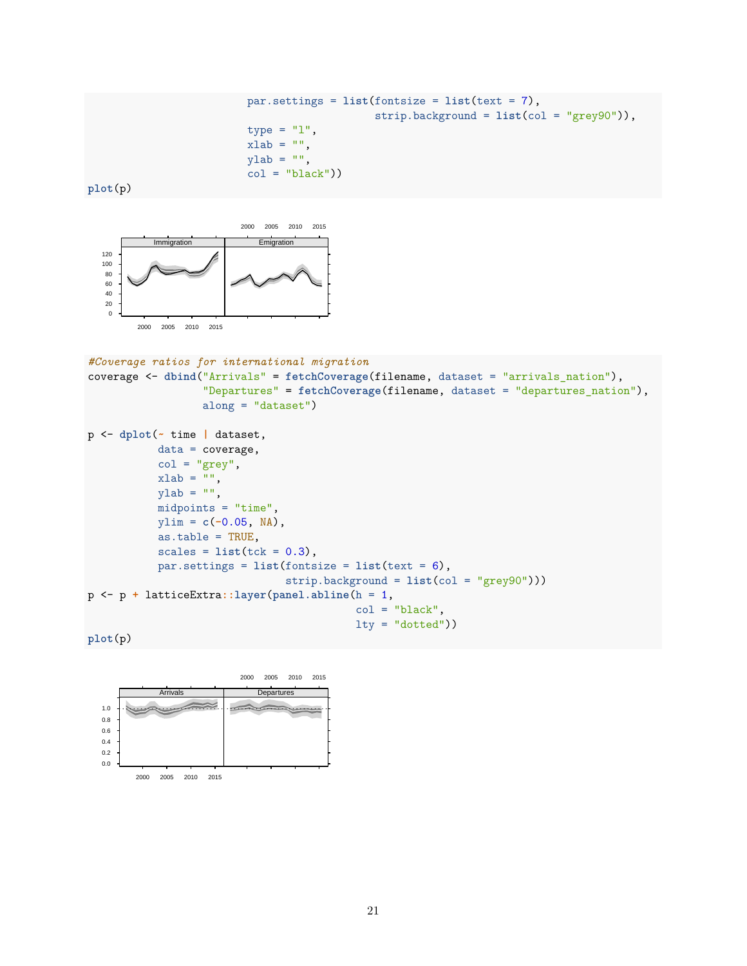```
par.settings = list(fontsize = list(text = 7),
                    strip.background = list(col = "grey90")),
type = "1",
xlab = "",
ylab = "",
col = "black"))
```
**plot**(p)



 $x$ lab = "",  $y$ lab = "",

midpoints = "time", ylim = **c**(**-**0.05, NA), as.table = TRUE,

 $scales = list(tck = 0.3),$ 

p <- p **+** latticeExtra**::layer**(**panel.abline**(h = 1,

par.settings = **list**(fontsize = **list**(text = 6),

```
#Coverage ratios for international migration
coverage <- dbind("Arrivals" = fetchCoverage(filename, dataset = "arrivals_nation"),
                  "Departures" = fetchCoverage(filename, dataset = "departures_nation"),
                  along = "dataset")
p <- dplot(~ time | dataset,
           data = coverage,
           col = "grey",
```
strip.background = **list**(col = "grey90")))

 $col = "black",$  $lty = "dotted")$ 

```
plot(p)
```
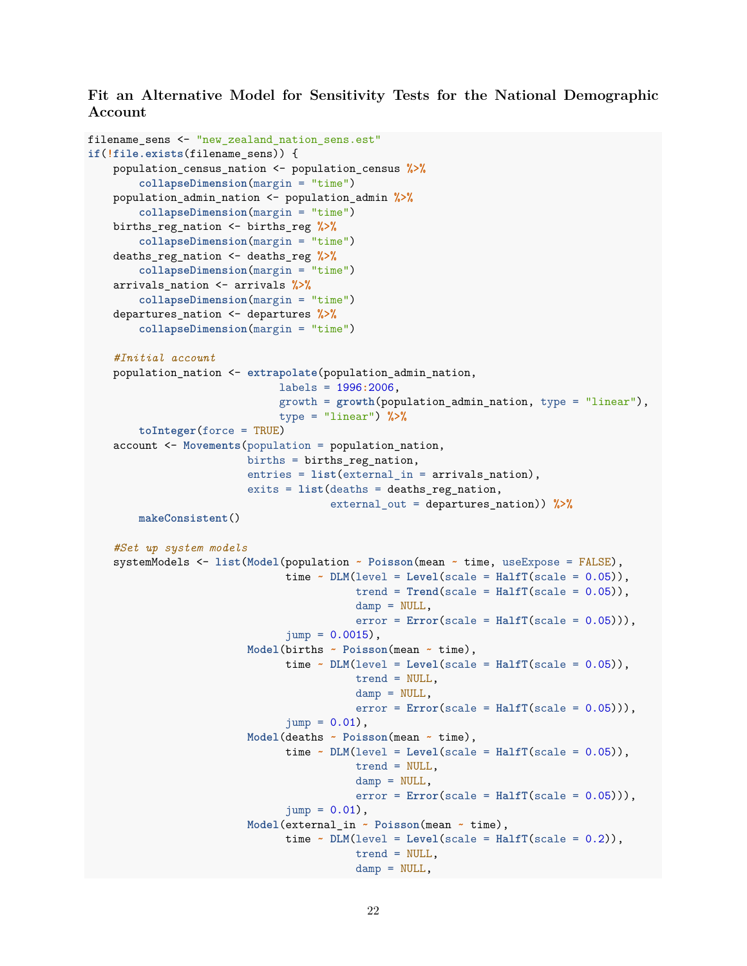**Fit an Alternative Model for Sensitivity Tests for the National Demographic Account**

```
filename_sens <- "new_zealand_nation_sens.est"
if(!file.exists(filename_sens)) {
   population_census_nation <- population_census %>%
        collapseDimension(margin = "time")
   population_admin_nation <- population_admin %>%
        collapseDimension(margin = "time")
   births_reg_nation <- births_reg %>%
        collapseDimension(margin = "time")
   deaths_reg_nation <- deaths_reg %>%
        collapseDimension(margin = "time")
   arrivals_nation <- arrivals %>%
        collapseDimension(margin = "time")
   departures_nation <- departures %>%
        collapseDimension(margin = "time")
    #Initial account
   population_nation <- extrapolate(population_admin_nation,
                              labels = 1996:2006,
                              growth = growth(population_admin_nation, type = "linear"),
                              type = "linear") %>%
        toInteger(force = TRUE)
   account <- Movements(population = population_nation,
                         births = births reg nation,
                         entries = list(external_in = arrivals_nation),
                         exits = list(deaths = deaths_reg_nation,
                                      external_out = departures_nation)) %>%
        makeConsistent()
    #Set up system models
    systemModels <- list(Model(population ~ Poisson(mean ~ time, useExpose = FALSE),
                               time \sim DLM(level = Level(scale = Half(Scale = 0.05)),
                                          trend = Trend(scale = HalfT(scale = 0.05)),damp = NULL,
                                          error = Error(scale = Half(scale = 0.05))),
                               jump = 0.0015,
                         Model(births ~ Poisson(mean ~ time),
                               time \sim DLM(level = Level(scale = HalfT(scale = 0.05)),trend = NULL,
                                          damp = NULL,error = Error(scale = HalfTscale = 0.05)),
                               jump = 0.01,
                         Model(deaths ~ Poisson(mean ~ time),
                               time \sim DLM(level = Level(scale = HalfT(scale = 0.05)),trend = NULL,
                                          damp = NULL,error = Error(scale = HalfT(scale = 0.05))),
                               jump = 0.01,
                         Model(external_in ~ Poisson(mean ~ time),
                               time \sim DLM(level = Level(scale = Half(Scale = 0.2)),
                                          trend = NULL,
                                          damp = NULL,
```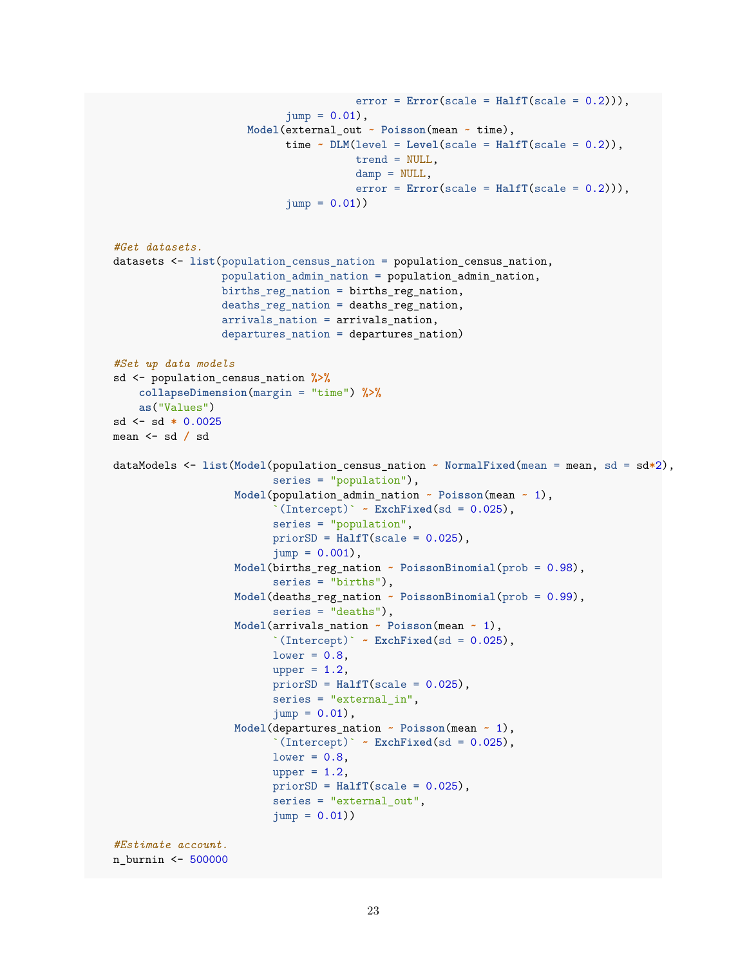```
error = Error(scale = HalfT(scale = 0.2))),
                            jump = 0.01,
                     Model(external_out ~ Poisson(mean ~ time),
                           time \sim DLM(level = Level(scale = Half(Scale = 0.2)),
                                       trend = NULL,
                                       damp = NULL,error = Error(scale = HalfT(scale = 0.2))),
                            jump = 0.01)#Get datasets.
datasets <- list(population_census_nation = population_census_nation,
                 population admin nation = population admin nation,
                 births_reg_nation = births_reg_nation,
                 deaths_reg_nation = deaths_reg_nation,
                 arrivals_nation = arrivals_nation,
                 departures_nation = departures_nation)
#Set up data models
sd <- population_census_nation %>%
    collapseDimension(margin = "time") %>%
    as("Values")
sd <- sd * 0.0025
mean <- sd / sd
dataModels <- list(Model(population_census_nation ~ NormalFixed(mean = mean, sd = sd*2),
                         series = "population"),
                   Model(population_admin_nation ~ Poisson(mean ~ 1),
                          \Gamma(Intercept)\Gamma ~ ExchFixed(sd = 0.025),
                         series = "population",
                         priorSD = HalfT(scale = 0.025),
                         jump = 0.001,
                   Model(births_reg_nation ~ PoissonBinomial(prob = 0.98),
                         series = "births"),
                   Model(deaths_reg_nation ~ PoissonBinomial(prob = 0.99),
                          series = "deaths"),
                   Model(arrivals_nation ~ Poisson(mean ~ 1),
                         \Gamma(Intercept)\Gamma ~ ExchFixed(sd = 0.025),
                         lower = 0.8,upper = 1.2,
                         priorSD = HalfT(scale = 0.025),
                         series = "external_in",
                          jump = 0.01,
                   Model(departures_nation ~ Poisson(mean ~ 1),
                          \Gamma(Intercept)\Gamma ~ ExchFixed(sd = 0.025),
                         lower = 0.8,upper = 1.2,
                         priorSD = HalfT(scale = 0.025),
                         series = "external_out",
                         jump = 0.01)#Estimate account.
n_burnin <- 500000
```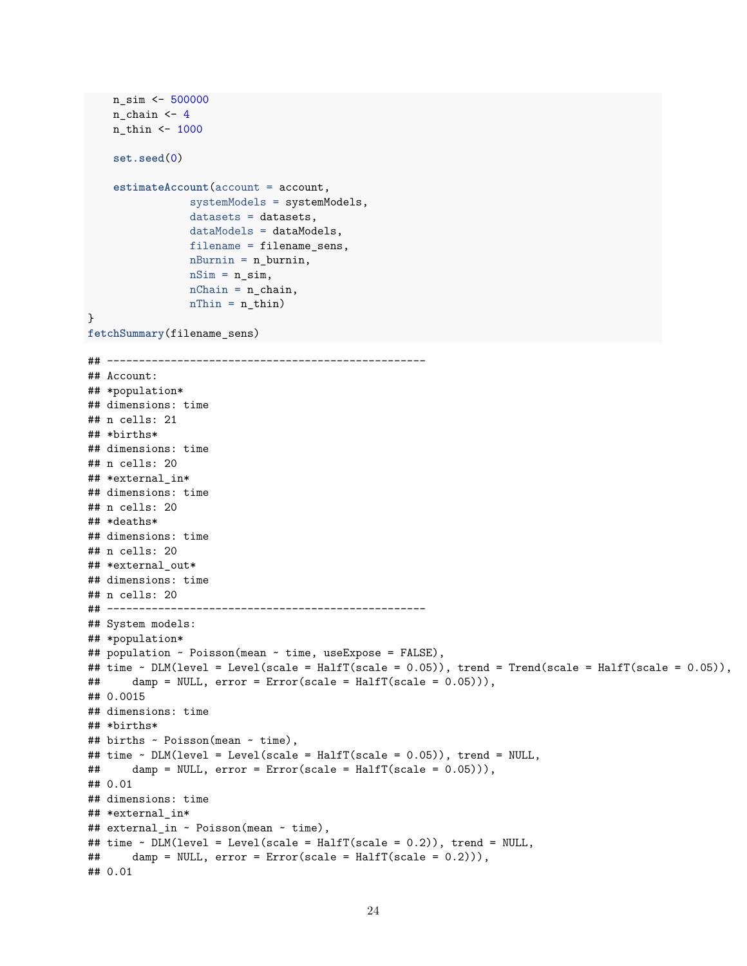```
n_sim <- 500000
    n_{chain} < 4n_thin <- 1000
    set.seed(0)
    estimateAccount(account = account,
                systemModels = systemModels,
                datasets = datasets,
                dataModels = dataModels,
                filename = filename_sens,
               nBurnin = n_burnin,
                nSim = n_sim,nChain = n_{chain},
               nThin = n_thin)}
fetchSummary(filename_sens)
## --------------------------------------------------
## Account:
## *population*
## dimensions: time
## n cells: 21
## *births*
## dimensions: time
## n cells: 20
## *external_in*
## dimensions: time
## n cells: 20
## *deaths*
## dimensions: time
## n cells: 20
## *external out*
## dimensions: time
## n cells: 20
## --------------------------------------------------
## System models:
## *population*
## population ~ Poisson(mean ~ time, useExpose = FALSE),
## time ~ DLM(level = Level(scale = HalfT(scale = 0.05)), trend = Trend(scale = HalfT(scale = 0.05)),
## damp = NULL, error = Error(scale = HalfT(scale = 0.05))),
## 0.0015
## dimensions: time
## *births*
## births ~ Poisson(mean ~ time),
## time ~ DLM(level = Level(scale = HalfT(scale = 0.05)), trend = NULL,
\## damp = NULL, error = Error(scale = HalfT(scale = 0.05))),
## 0.01
## dimensions: time
## *external in*
## external_in ~ Poisson(mean ~ time),
## time ~ DLM(level = Level(scale = HalfT(scale = 0.2)), trend = NULL,
## damp = NULL, error = Error(scale = HalfT(scale = 0.2))),
## 0.01
```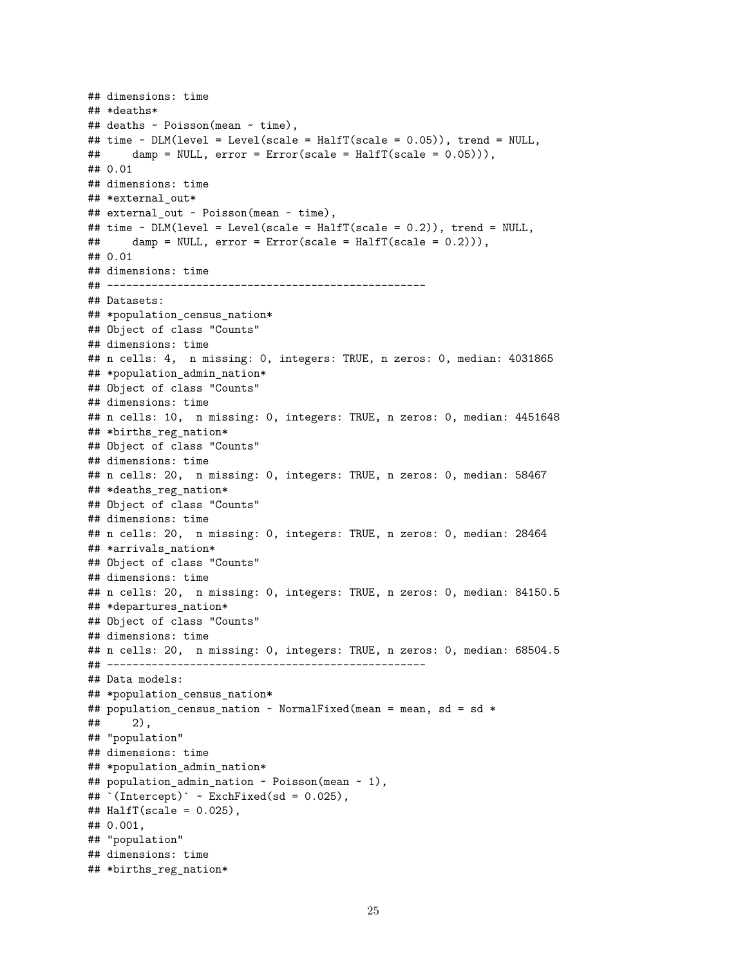```
## dimensions: time
## *deaths*
## deaths ~ Poisson(mean ~ time),
## time ~ DLM(level = Level(scale = HalfT(scale = 0.05)), trend = NULL,
## damp = NULL, error = Error(scale = HalfT(scale = 0.05))),
## 0.01
## dimensions: time
## *external out*
## external_out ~ Poisson(mean ~ time),
## time ~ DLM(level = Level(scale = HalfT(scale = 0.2)), trend = NULL,
## damp = NULL, error = Error(scale = HalfT(scale = 0.2))),
## 0.01
## dimensions: time
## --------------------------------------------------
## Datasets:
## *population_census_nation*
## Object of class "Counts"
## dimensions: time
## n cells: 4, n missing: 0, integers: TRUE, n zeros: 0, median: 4031865
## *population admin nation*
## Object of class "Counts"
## dimensions: time
## n cells: 10, n missing: 0, integers: TRUE, n zeros: 0, median: 4451648
## *births_reg_nation*
## Object of class "Counts"
## dimensions: time
## n cells: 20, n missing: 0, integers: TRUE, n zeros: 0, median: 58467
## *deaths_reg_nation*
## Object of class "Counts"
## dimensions: time
## n cells: 20, n missing: 0, integers: TRUE, n zeros: 0, median: 28464
## *arrivals_nation*
## Object of class "Counts"
## dimensions: time
## n cells: 20, n missing: 0, integers: TRUE, n zeros: 0, median: 84150.5
## *departures_nation*
## Object of class "Counts"
## dimensions: time
## n cells: 20, n missing: 0, integers: TRUE, n zeros: 0, median: 68504.5
## --------------------------------------------------
## Data models:
## *population_census_nation*
## population_census_nation ~ NormalFixed(mean = mean, sd = sd *
## 2),
## "population"
## dimensions: time
## *population_admin_nation*
## population_admin_nation ~ Poisson(mean ~ 1),
\# (Intercept) \sim ExchFixed(sd = 0.025),
\texttt{\#}\# HalfT(scale = 0.025),
## 0.001,
## "population"
## dimensions: time
## *births_reg_nation*
```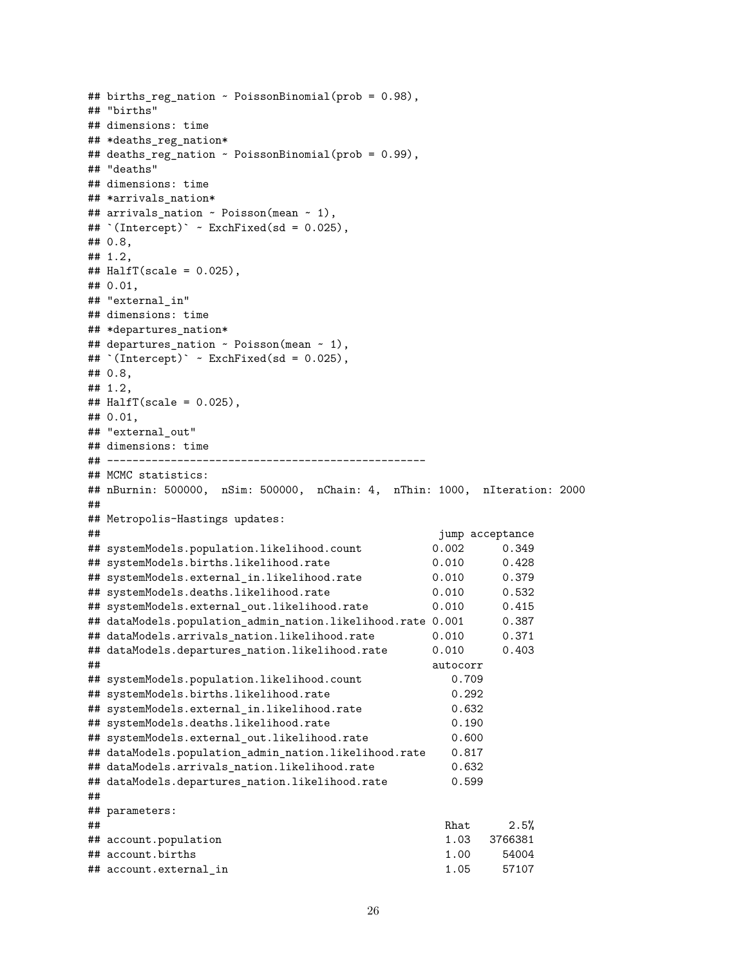```
## births_reg_nation ~ PoissonBinomial(prob = 0.98),
## "births"
## dimensions: time
## *deaths_reg_nation*
## deaths_reg_nation ~ PoissonBinomial(prob = 0.99),
## "deaths"
## dimensions: time
## *arrivals nation*
## arrivals_nation ~ Poisson(mean ~ 1),
## `(Intercept)` ~ ExchFixed(sd = 0.025),
## 0.8,
## 1.2,
\texttt{\#}\# HalfT(scale = 0.025),
## 0.01,
## "external_in"
## dimensions: time
## *departures_nation*
## departures nation \sim Poisson(mean \sim 1),
\text{#}\text{#} (Intercept) ~ ExchFixed(sd = 0.025),
## 0.8,
## 1.2,
\texttt{\#}\# HalfT(scale = 0.025),
## 0.01,
## "external out"
## dimensions: time
## --------------------------------------------------
## MCMC statistics:
## nBurnin: 500000, nSim: 500000, nChain: 4, nThin: 1000, nIteration: 2000
##
## Metropolis-Hastings updates:
## jump acceptance
## systemModels.population.likelihood.count 0.002 0.349
## systemModels.births.likelihood.rate 0.010 0.428
## systemModels.external_in.likelihood.rate 0.010 0.379
## systemModels.deaths.likelihood.rate 0.010 0.532
## systemModels.external_out.likelihood.rate 0.010 0.415
## dataModels.population admin nation.likelihood.rate 0.001 0.387
## dataModels.arrivals_nation.likelihood.rate 0.010 0.371
## dataModels.departures_nation.likelihood.rate 0.010 0.403
## autocorr
## systemModels.population.likelihood.count 0.709
## systemModels.births.likelihood.rate 0.292
## systemModels.external_in.likelihood.rate 0.632
## systemModels.deaths.likelihood.rate 0.190
## systemModels.external_out.likelihood.rate 0.600
## dataModels.population_admin_nation.likelihood.rate 0.817
## dataModels.arrivals_nation.likelihood.rate 0.632
## dataModels.departures_nation.likelihood.rate 0.599
##
## parameters:
\## Rhat 2.5%
## account.population 1.03 3766381
## account.births 1.00 54004
## account.external_in 1.05 57107
```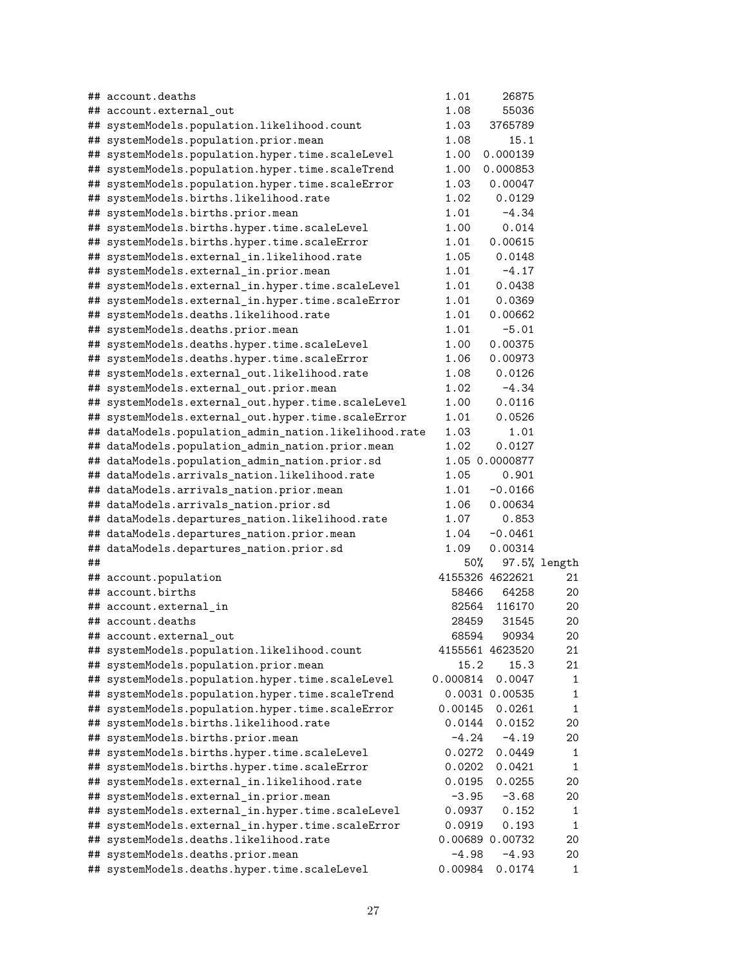|    | ## account.deaths                                     | 1.01     | 26875           |              |
|----|-------------------------------------------------------|----------|-----------------|--------------|
|    | ## account.external_out                               | 1.08     | 55036           |              |
|    | ## systemModels.population.likelihood.count           | 1.03     | 3765789         |              |
|    | ## systemModels.population.prior.mean                 | 1.08     | 15.1            |              |
|    | ## systemModels.population.hyper.time.scaleLevel      | 1.00     | 0.000139        |              |
|    | ## systemModels.population.hyper.time.scaleTrend      | 1.00     | 0.000853        |              |
|    | ## systemModels.population.hyper.time.scaleError      | 1.03     | 0.00047         |              |
|    | ## systemModels.births.likelihood.rate                | 1.02     | 0.0129          |              |
|    | ## systemModels.births.prior.mean                     | 1.01     | $-4.34$         |              |
|    | ## systemModels.births.hyper.time.scaleLevel          | 1.00     | 0.014           |              |
|    | ## systemModels.births.hyper.time.scaleError          | 1.01     | 0.00615         |              |
|    | ## systemModels.external_in.likelihood.rate           | 1.05     | 0.0148          |              |
|    | ## systemModels.external_in.prior.mean                | 1.01     | $-4.17$         |              |
|    | ## systemModels.external_in.hyper.time.scaleLevel     | 1.01     | 0.0438          |              |
|    | ## systemModels.external_in.hyper.time.scaleError     | 1.01     | 0.0369          |              |
|    | ## systemModels.deaths.likelihood.rate                | 1.01     | 0.00662         |              |
|    | ## systemModels.deaths.prior.mean                     | 1.01     | $-5.01$         |              |
|    | ## systemModels.deaths.hyper.time.scaleLevel          | 1.00     | 0.00375         |              |
|    | ## systemModels.deaths.hyper.time.scaleError          | 1.06     | 0.00973         |              |
|    | ## systemModels.external_out.likelihood.rate          | 1.08     | 0.0126          |              |
|    | ## systemModels.external_out.prior.mean               | 1.02     | $-4.34$         |              |
|    | ## systemModels.external_out.hyper.time.scaleLevel    | 1.00     | 0.0116          |              |
|    | ## systemModels.external_out.hyper.time.scaleError    | 1.01     | 0.0526          |              |
|    | ## dataModels.population_admin_nation.likelihood.rate | 1.03     | 1.01            |              |
|    | ## dataModels.population_admin_nation.prior.mean      | 1.02     | 0.0127          |              |
|    | ## dataModels.population_admin_nation.prior.sd        |          | 1.05 0.0000877  |              |
|    | ## dataModels.arrivals_nation.likelihood.rate         | 1.05     | 0.901           |              |
|    | ## dataModels.arrivals_nation.prior.mean              | 1.01     | $-0.0166$       |              |
|    | ## dataModels.arrivals_nation.prior.sd                | 1.06     | 0.00634         |              |
|    | ## dataModels.departures_nation.likelihood.rate       | 1.07     | 0.853           |              |
|    | ## dataModels.departures_nation.prior.mean            | 1.04     | $-0.0461$       |              |
|    | ## dataModels.departures_nation.prior.sd              | 1.09     | 0.00314         |              |
| ## |                                                       | 50%      |                 | 97.5% length |
|    | ## account.population                                 |          | 4155326 4622621 | 21           |
|    | ## account.births                                     | 58466    | 64258           | 20           |
|    | ## account.external in                                |          | 82564 116170    | 20           |
|    | ## account.deaths                                     | 28459    | 31545           | 20           |
|    | ## account.external out                               | 68594    | 90934           | 20           |
|    | ## systemModels.population.likelihood.count           |          | 4155561 4623520 | 21           |
|    | ## systemModels.population.prior.mean                 | 15.2     | 15.3            | 21           |
|    | ## systemModels.population.hyper.time.scaleLevel      | 0.000814 | 0.0047          | 1            |
|    | ## systemModels.population.hyper.time.scaleTrend      |          | 0.0031 0.00535  | 1            |
|    | ## systemModels.population.hyper.time.scaleError      | 0.00145  | 0.0261          | 1            |
|    | ## systemModels.births.likelihood.rate                | 0.0144   | 0.0152          | 20           |
|    | ## systemModels.births.prior.mean                     | $-4.24$  | $-4.19$         | 20           |
|    | ## systemModels.births.hyper.time.scaleLevel          | 0.0272   | 0.0449          | 1            |
|    | ## systemModels.births.hyper.time.scaleError          | 0.0202   | 0.0421          | 1            |
|    | ## systemModels.external_in.likelihood.rate           | 0.0195   | 0.0255          | 20           |
|    | ## systemModels.external_in.prior.mean                | $-3.95$  | $-3.68$         | 20           |
|    | ## systemModels.external_in.hyper.time.scaleLevel     | 0.0937   | 0.152           | 1            |
|    | ## systemModels.external_in.hyper.time.scaleError     | 0.0919   | 0.193           | 1            |
|    | ## systemModels.deaths.likelihood.rate                |          | 0.00689 0.00732 | 20           |
|    | ## systemModels.deaths.prior.mean                     | $-4.98$  | $-4.93$         | 20           |
|    | ## systemModels.deaths.hyper.time.scaleLevel          | 0.00984  | 0.0174          | 1            |
|    |                                                       |          |                 |              |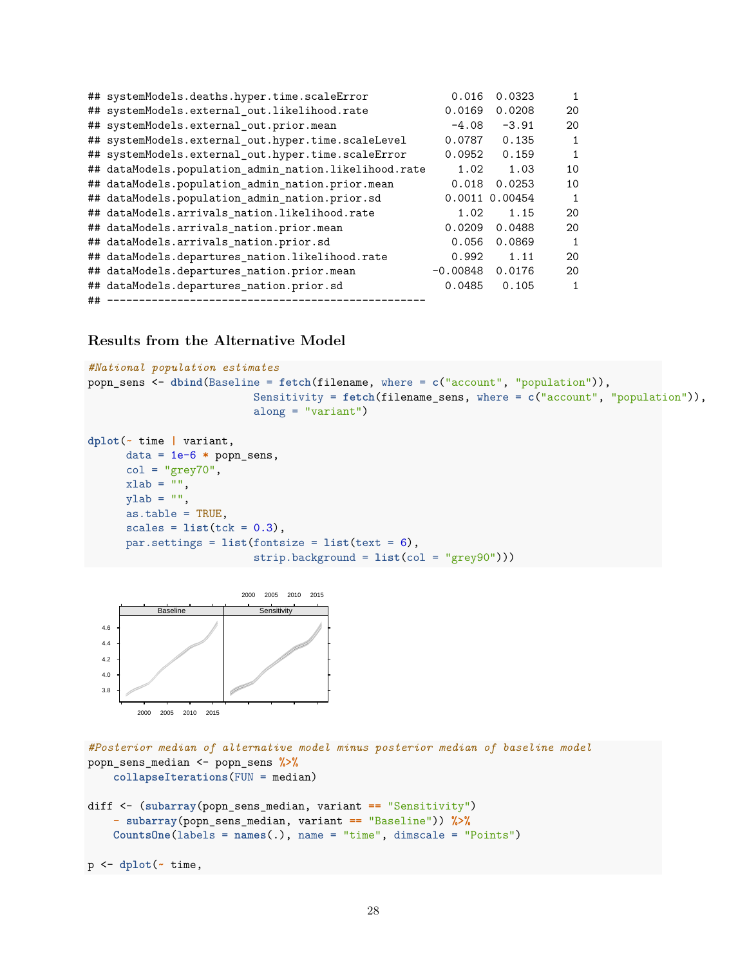|    | ## systemModels.deaths.hyper.time.scaleError          | 0.016      | 0.0323         | $\mathbf{1}$ |
|----|-------------------------------------------------------|------------|----------------|--------------|
|    | ## systemModels.external_out.likelihood.rate          | 0.0169     | 0.0208         | 20           |
|    | ## systemModels.external_out.prior.mean               | $-4.08$    | $-3.91$        | 20           |
|    | ## systemModels.external_out.hyper.time.scaleLevel    | 0.0787     | 0.135          | $\mathbf{1}$ |
|    | ## systemModels.external_out.hyper.time.scaleError    | 0.0952     | 0.159          | $\mathbf{1}$ |
|    | ## dataModels.population_admin_nation.likelihood.rate | 1.02       | 1.03           | 10           |
|    | ## dataModels.population_admin_nation.prior.mean      | 0.018      | 0.0253         | 10           |
|    | ## dataModels.population_admin_nation.prior.sd        |            | 0.0011 0.00454 | $\mathbf{1}$ |
|    | ## dataModels.arrivals_nation.likelihood.rate         | 1.02       | 1.15           | 20           |
|    | ## dataModels.arrivals_nation.prior.mean              | 0.0209     | 0.0488         | 20           |
|    | ## dataModels.arrivals_nation.prior.sd                | 0.056      | 0.0869         | $\mathbf{1}$ |
|    | ## dataModels.departures_nation.likelihood.rate       | 0.992      | 1.11           | 20           |
|    | ## dataModels.departures_nation.prior.mean            | $-0.00848$ | 0.0176         | 20           |
|    | ## dataModels.departures_nation.prior.sd              | 0.0485     | 0.105          | 1            |
| ## | ________________________________                      |            |                |              |

# **Results from the Alternative Model**

```
#National population estimates
popn_sens <- dbind(Baseline = fetch(filename, where = c("account", "population")),
                         Sensitivity = fetch(filename_sens, where = c("account", "population")),
                          along = "variant")
```

```
dplot(~ time | variant,
     data = 1e-6 * popn_sens,
     col = "grey70",xlab = "",
     ylab = "",
     as.table = TRUE,
     scales = list(tck = 0.3),par.settings = list(fontsize = list(text = 6),strip.background = list(col = "grey90")))
```


*#Posterior median of alternative model minus posterior median of baseline model* popn\_sens\_median <- popn\_sens **%>% collapseIterations**(FUN = median)

```
diff <- (subarray(popn_sens_median, variant == "Sensitivity")
   - subarray(popn_sens_median, variant == "Baseline")) %>%
   CountsOne(labels = names(.), name = "time", dimscale = "Points")
```

```
p <- dplot(~ time,
```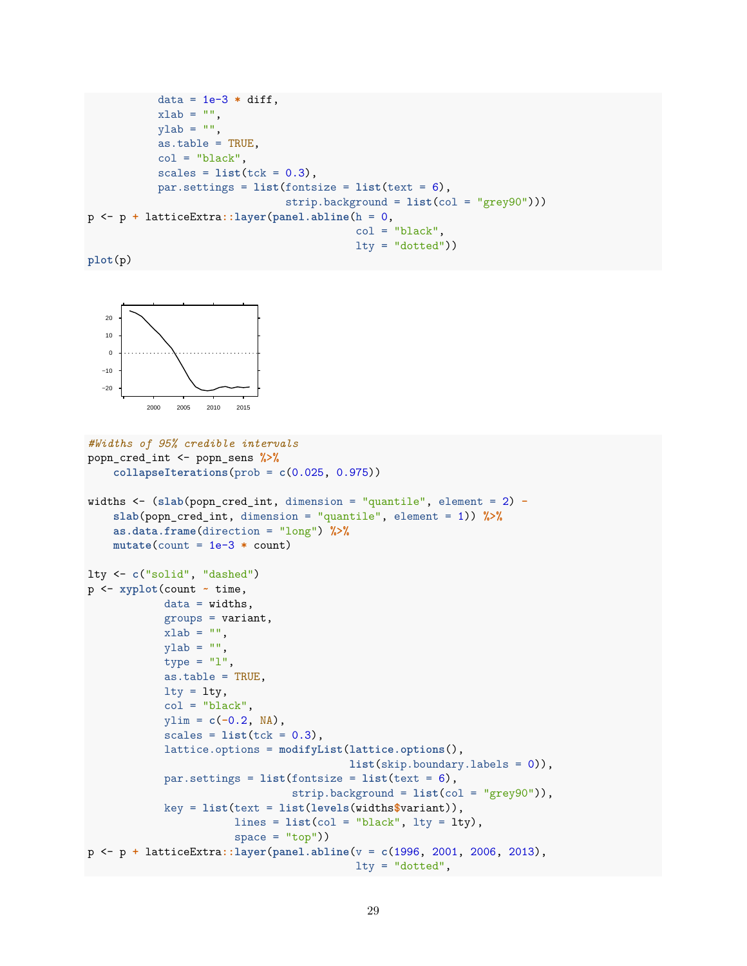```
data = 1e-3 * diff,xlab = "",
           ylab = "",
           as.table = TRUE,
           col = "black",scales = list(tck = 0.3),par.settings = list(fontsize = list(text = 6),
                               strip.background = list(col = "grey90")))
p <- p + latticeExtra::layer(panel.abline(h = 0,
                                          col = "black",lty = "dotted")
```
**plot**(p)



```
#Widths of 95% credible intervals
popn_cred_int <- popn_sens %>%
    collapseIterations(prob = c(0.025, 0.975))
widths <- (slab(popn_cred_int, dimension = "quantile", element = 2) -
    slab(popn_cred_int, dimension = "quantile", element = 1)) %>%
    as.data.frame(direction = "long") %>%
    mutate(count = 1e-3 * count)
lty <- c("solid", "dashed")
p <- xyplot(count ~ time,
            data = widths,groups = variant,xlab = ",
            ylab = "",
            type = "1",as.table = TRUE,
            lty = lty,col = "black",ylim = c(-0.2, NA),
            scales = list(tck = 0.3),
            lattice.options = modifyList(lattice.options(),
                                         list(skip.boundary.labels = 0)),
            par.settings = list(fontsize = list(text = 6),
                                strip.background = list(col = "grey90")),
            key = list(text = list(levels(widths$variant)),
                       lines = list(col = "black", lty = lty),space = "top"))
p <- p + latticeExtra::layer(panel.abline(v = c(1996, 2001, 2006, 2013),
                                          lty = "dotted",
```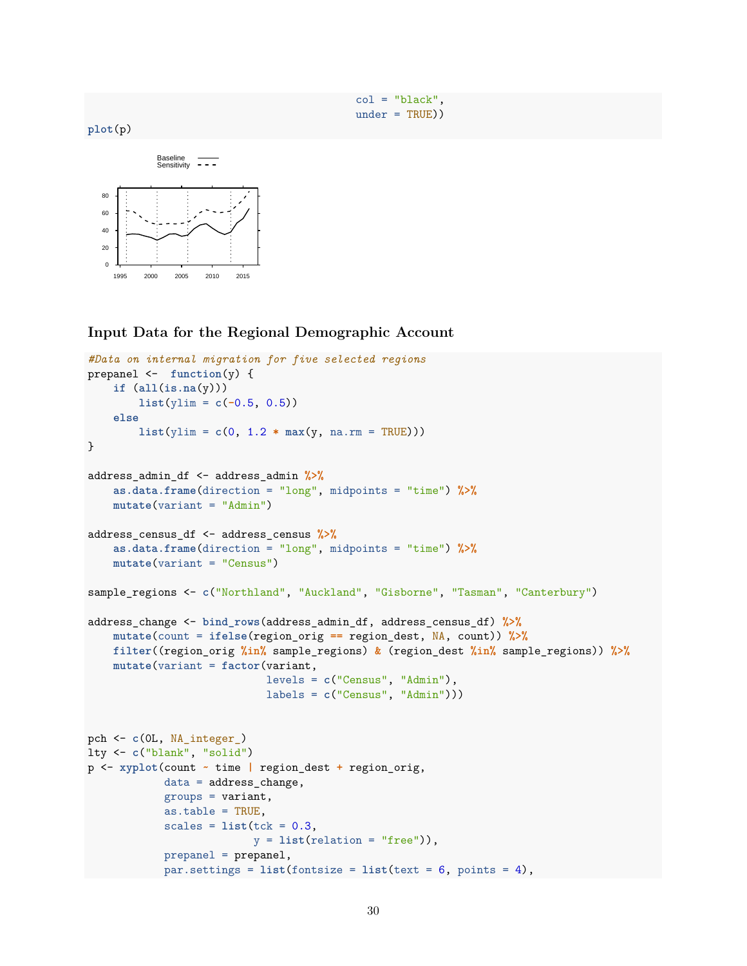$col = "black".$ under = TRUE))





**Input Data for the Regional Demographic Account**

```
#Data on internal migration for five selected regions
prepanel <- function(y) {
   if (all(is.na(y)))
       list(ylim = c(-0.5, 0.5))
   else
       list(ylim = c(0, 1.2 * max(y, na.rm = TRUE)))}
address_admin_df <- address_admin %>%
   as.data.frame(direction = "long", midpoints = "time") %>%
   mutate(variant = "Admin")
address_census_df <- address_census %>%
   as.data.frame(direction = "long", midpoints = "time") %>%
   mutate(variant = "Census")
sample_regions <- c("Northland", "Auckland", "Gisborne", "Tasman", "Canterbury")
address_change <- bind_rows(address_admin_df, address_census_df) %>%
   mutate(count = ifelse(region_orig == region_dest, NA, count)) %>%
   filter((region_orig %in% sample_regions) & (region_dest %in% sample_regions)) %>%
   mutate(variant = factor(variant,
                            levels = c("Census", "Admin"),
                            labels = c("Census", "Admin")))
pch <- c(0L, NA_integer_)
lty <- c("blank", "solid")
p <- xyplot(count ~ time | region_dest + region_orig,
           data = address_change,
            groups = variant,as.table = TRUE,
            scales = list(tck = 0.3,y = list(relation = "free")),
            prepanel = prepanel,
            par.settings = list(fontsize = list(text = 6, points = 4),
```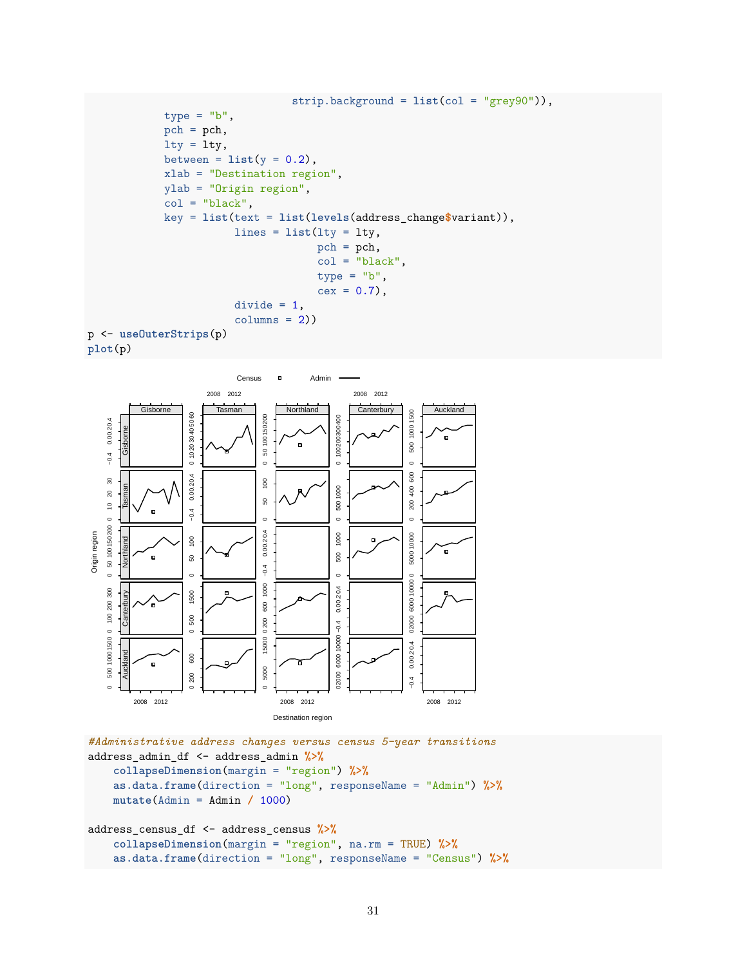```
strip.background = list(col = "grey90")),
            type = "b",pch = pch,
            lty = lty,between = list(y = 0.2),
            xlab = "Destination region",
            ylab = "Origin region",
            col = "black",key = list(text = list(levels(address_change$variant)),
                       lines = list(lty = lty,
                                    pch = pch,
                                    col = "black",type = "b",
                                    cex = 0.7),
                       divide = 1,columns = 2)p <- useOuterStrips(p)
plot(p)
```


```
#Administrative address changes versus census 5-year transitions
address_admin_df <- address_admin %>%
    collapseDimension(margin = "region") %>%
    as.data.frame(direction = "long", responseName = "Admin") %>%
   mutate(Admin = Admin / 1000)
address_census_df <- address_census %>%
    collapseDimension(margin = "region", na.rm = TRUE) %>%
    as.data.frame(direction = "long", responseName = "Census") %>%
```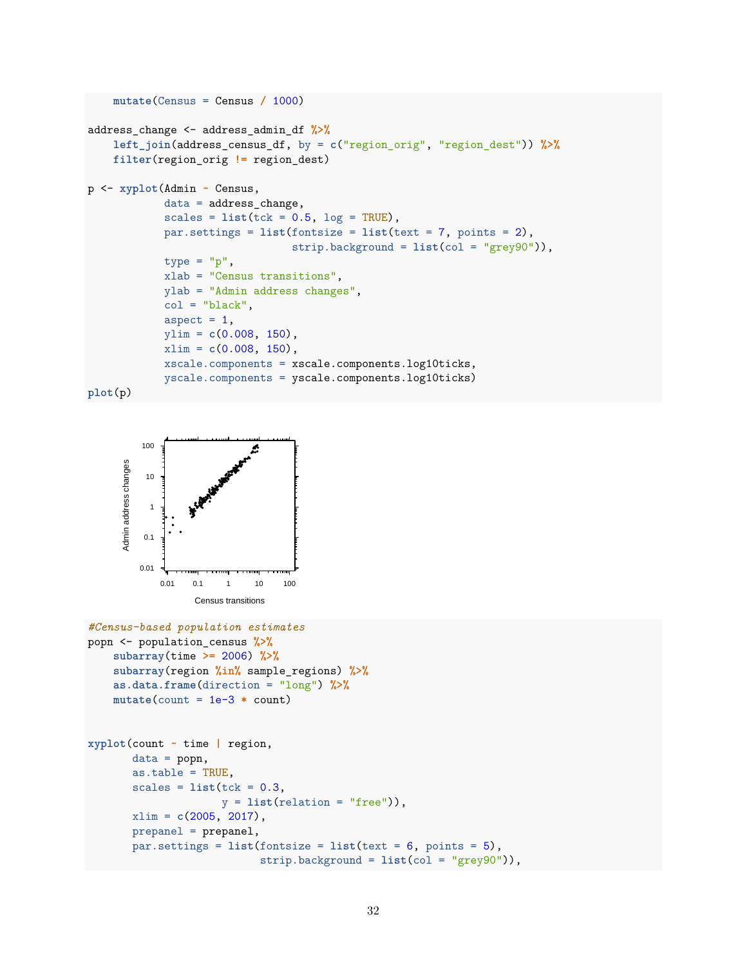```
mutate(Census = Census / 1000)
address_change <- address_admin_df %>%
    left_join(address_census_df, by = c("region_orig", "region_dest")) %>%
    filter(region_orig != region_dest)
p <- xyplot(Admin ~ Census,
            data = address_change,
            scales = list(tck = 0.5, log = TRUE),par.settings = list(fontsize = list(text = 7, points = 2),
                                strip.background = list(col = "grey90")),
            type = "p",xlab = "Census transitions",
            ylab = "Admin address changes",
            col = "black",aspect = 1,
            ylim = c(0.008, 150),
            xlim = c(0.008, 150),
            xscale.components = xscale.components.log10ticks,
            yscale.components = yscale.components.log10ticks)
```

```
plot(p)
```


```
#Census-based population estimates
popn <- population_census %>%
    subarray(time >= 2006) %>%
    subarray(region %in% sample_regions) %>%
    as.data.frame(direction = "long") %>%
    mutate(count = 1e-3 * count)
xyplot(count ~ time | region,
       data = popn,
       as.table = TRUE,
       scales = list(tck = 0.3,y = list(relation = "free")),
       xlim = c(2005, 2017),
       prepanel = prepanel,
       par.settings = list(fontsize = list(text = 6, points = 5),
                           strip.background = list(col = "grey90")),
```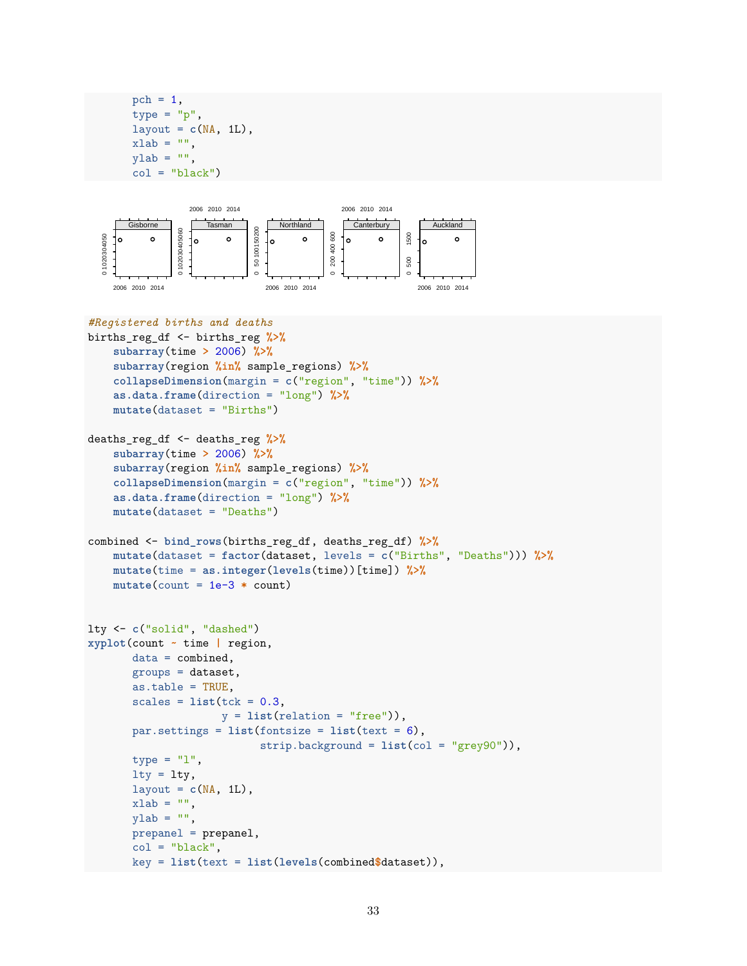```
pch = 1,
type = "p",layout = c(NA, 1L),
xlab = "",
ylab = "",
col = "black")
```
prepanel = prepanel,  $col = "black".$ 



```
#Registered births and deaths
births_reg_df <- births_reg %>%
    subarray(time > 2006) %>%
    subarray(region %in% sample_regions) %>%
    collapseDimension(margin = c("region", "time")) %>%
    as.data.frame(direction = "long") %>%
    mutate(dataset = "Births")
deaths_reg_df <- deaths_reg %>%
    subarray(time > 2006) %>%
    subarray(region %in% sample_regions) %>%
    collapseDimension(margin = c("region", "time")) %>%
    as.data.frame(direction = "long") %>%
    mutate(dataset = "Deaths")
combined <- bind_rows(births_reg_df, deaths_reg_df) %>%
    mutate(dataset = factor(dataset, levels = c("Births", "Deaths"))) %>%
    mutate(time = as.integer(levels(time))[time]) %>%
    mutate(count = 1e-3 * count)
lty <- c("solid", "dashed")
xyplot(count ~ time | region,
       data = combined,
       groups = dataset,
       as.table = TRUE,
       scales = list(tck = 0.3,y = list(relation = "free")),
       par.settings = list(fontsize = list(text = 6),strip.background = list(col = "grey90")),
       type = "1",
       lty = lty,layout = c(NA, 1L),
       xlab = "",
       ylab = "",
```
key = **list**(text = **list**(**levels**(combined**\$**dataset)),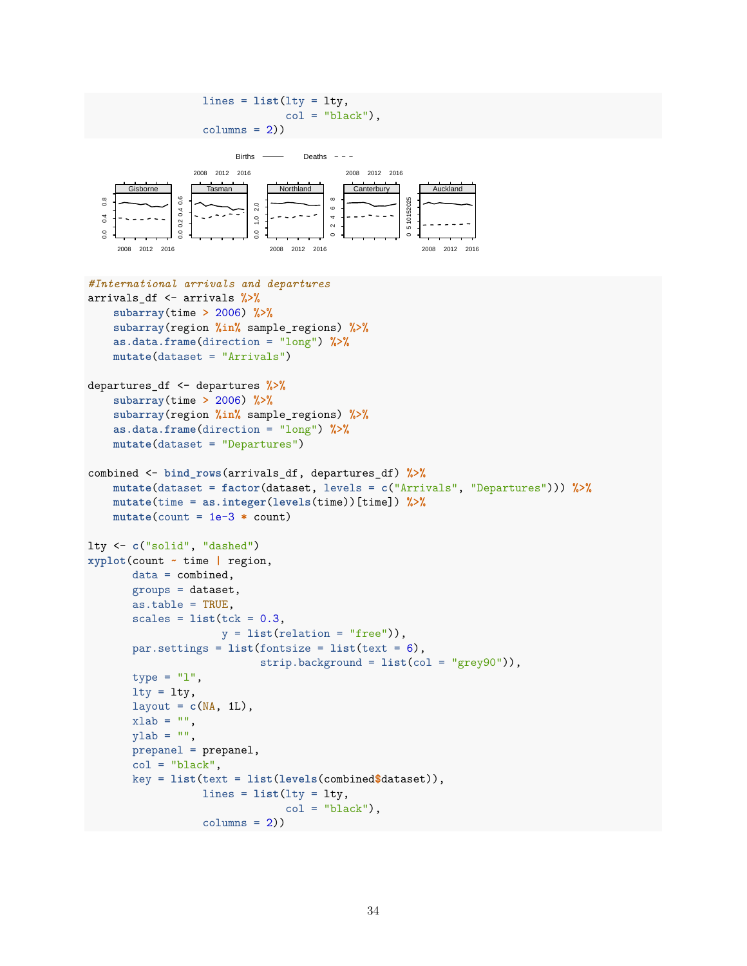```
lines = list(lty = lty,
                                     col = "black",columns = 2)Births \longrightarrow Deaths \overline{\phantom{a}} - -
                   2008 2012 2016
                                                2008 2012 2016
                                                Canterbury
                      Tasman
                                   Northland
                                                                Auckland
       Gisborne
  0.8\frac{6}{5}0.0 0.2 0.4 0.6
                                                             5 10152025
   0.0 0.4 0.8
                                              2 4 6 8
                                                           0 510152025
                              2.00.0 1.0 2.0
                                             \circ0.002040.4\ddot{\phantom{a}}0.1\sim\overline{0}.0
                               \overline{0}.0
                                             \circ2008 2012 2016
                                  2008 2012 2016
                                                              2008 2012 2016
#International arrivals and departures
arrivals_df <- arrivals %>%
    subarray(time > 2006) %>%
    subarray(region %in% sample_regions) %>%
    as.data.frame(direction = "long") %>%
    mutate(dataset = "Arrivals")
departures_df <- departures %>%
    subarray(time > 2006) %>%
    subarray(region %in% sample_regions) %>%
    as.data.frame(direction = "long") %>%
    mutate(dataset = "Departures")
combined <- bind_rows(arrivals_df, departures_df) %>%
    mutate(dataset = factor(dataset, levels = c("Arrivals", "Departures"))) %>%
    mutate(time = as.integer(levels(time))[time]) %>%
    mutate(count = 1e-3 * count)
lty <- c("solid", "dashed")
xyplot(count ~ time | region,
        data = combined,
        groups = dataset,
        as.table = TRUE,
        scales = list(tck = 0.3,y = list(relation = "free")),
        par.settings = list(fontsize = list(text = 6),
                                strip.background = list(col = "grey90")),
        type = "1",
        lty = lty,layout = c(NA, 1L),
        xlab = "".
        ylab = "",
        prepanel = prepanel,
        col = "black",key = list(text = list(levels(combined$dataset)),
                     lines = list(lty = lty,col = "black",columns = 2)
```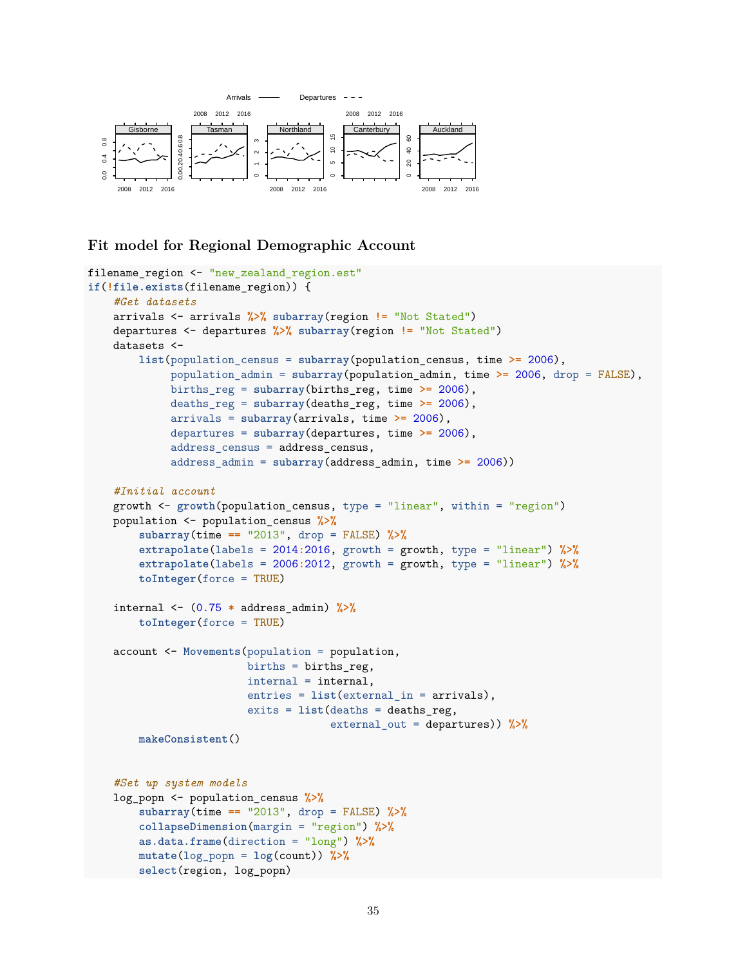

## **Fit model for Regional Demographic Account**

**select**(region, log\_popn)

```
filename_region <- "new_zealand_region.est"
if(!file.exists(filename_region)) {
    #Get datasets
   arrivals <- arrivals %>% subarray(region != "Not Stated")
   departures <- departures %>% subarray(region != "Not Stated")
   datasets <-
        list(population_census = subarray(population_census, time >= 2006),
             population_admin = subarray(population_admin, time >= 2006, drop = FALSE),
             births_reg = subarray(births_reg, time >= 2006),
             deaths_reg = subarray(deaths_reg, time >= 2006),
             arrivals = subarray(arrivals, time >= 2006),
             departures = subarray(departures, time >= 2006),
             address census = address census,
             address_admin = subarray(address_admin, time >= 2006))
    #Initial account
   growth <- growth(population_census, type = "linear", within = "region")
   population <- population_census %>%
        subarray(time == "2013", drop = FALSE) %>%
        extrapolate(labels = 2014:2016, growth = growth, type = "linear") %>%
        extrapolate(labels = 2006:2012, growth = growth, type = "linear") %>%
        toInteger(force = TRUE)
    internal <- (0.75 * address_admin) %>%
        toInteger(force = TRUE)
   account <- Movements(population = population,
                         births = births reg,
                         internal = internal,
                         entries = list(external_in = arrivals),
                         exits = list(deaths = deaths_reg,
                                      external_out = departures)) %>%
       makeConsistent()
    #Set up system models
   log_popn <- population_census %>%
        subarray(time == "2013", drop = FALSE) %>%
        collapseDimension(margin = "region") %>%
       as.data.frame(direction = "long") %>%
       mutate(log_popn = log(count)) %>%
```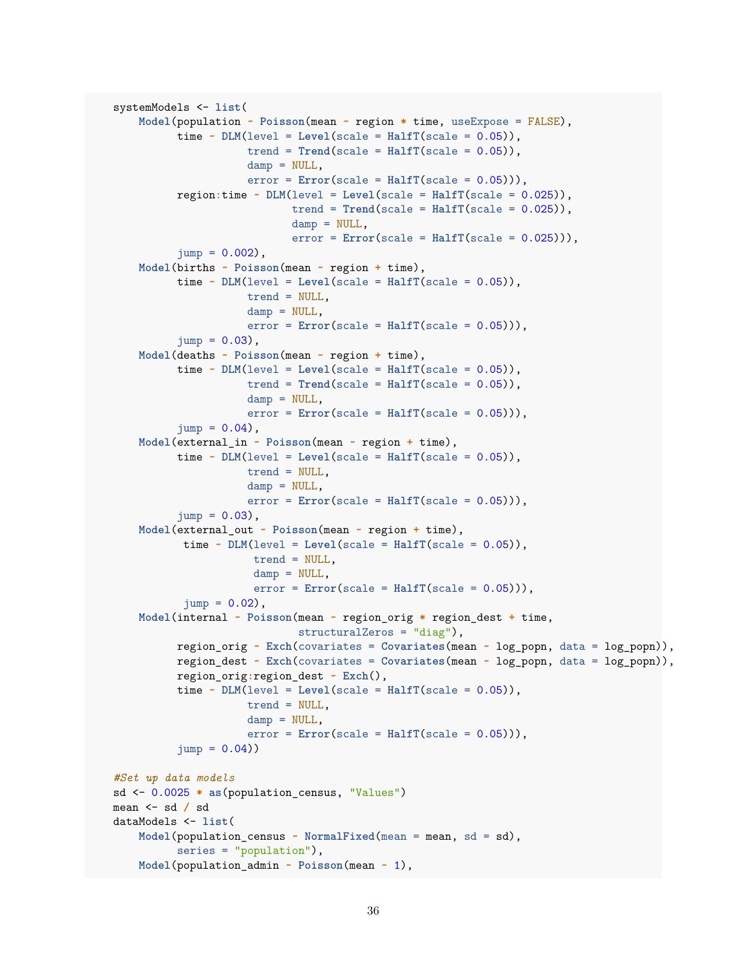```
systemModels <- list(
    Model(population ~ Poisson(mean ~ region * time, useExpose = FALSE),
          time \sim DLM(level = Level(scale = HalfT(scale = 0.05)),trend = Trend(scale = HalfT(scale = 0.05)),damp = NULL,error = Error(scale = Half(scale = 0.05))),
          region:time ~ DLM(level = Level(scale = HalfT(scale = 0.025)),
                            trend = Trend(scale = HalfT(scale = 0.025)),damp = NULL,error = Error(scale = HalfT(scale = 0.025))),
          jump = 0.002,
   Model(births ~ Poisson(mean ~ region + time),
          time \sim DLM(level = Level(scale = HalfT(scale = 0.05)),trend = NULL,
                     damp = NULL,
                     error = Error(scale = Half(scale = 0.05))),
          jump = 0.03,
    Model(deaths ~ Poisson(mean ~ region + time),
          time \sim DLM(level = Level(scale = HalfT(scale = 0.05)),trend = Trend(scale = HalfT(scale = 0.05)),damp = NULL,error = Error(scale = HalfT(scale = 0.05))),
          jump = 0.04,
    Model(external_in ~ Poisson(mean ~ region + time),
          time \sim DLM(level = Level(scale = HalfTscale = 0.05)),trend = NULL,
                     damp = NULL,error = Error(scale = HalfT(scale = 0.05))),
          jump = 0.03,
    Model(external_out ~ Poisson(mean ~ region + time),
           time \sim DLM(level = Level(scale = Half(scale = 0.05)),
                      trend = NULL,
                      damp = NULL,error = Error(scale = Half(scale = 0.05))),
           jump = 0.02,
    Model(internal ~ Poisson(mean ~ region_orig * region_dest + time,
                             structuralZeros = "diag"),
          region_orig ~ Exch(covariates = Covariates(mean ~ log_popn, data = log_popn)),
          region_dest ~ Exch(covariates = Covariates(mean ~ log_popn, data = log_popn)),
          region_orig:region_dest ~ Exch(),
          time \sim DLM(level = Level(scale = HalfT(scale = 0.05)),trend = NULL,
                     damp = NULL,error = Error(scale = HalfT(scale = 0.05))),
          jump = 0.04)#Set up data models
sd <- 0.0025 * as(population_census, "Values")
mean <- sd / sd
dataModels <- list(
    Model(population_census ~ NormalFixed(mean = mean, sd = sd),
          series = "population"),
   Model(population_admin ~ Poisson(mean ~ 1),
```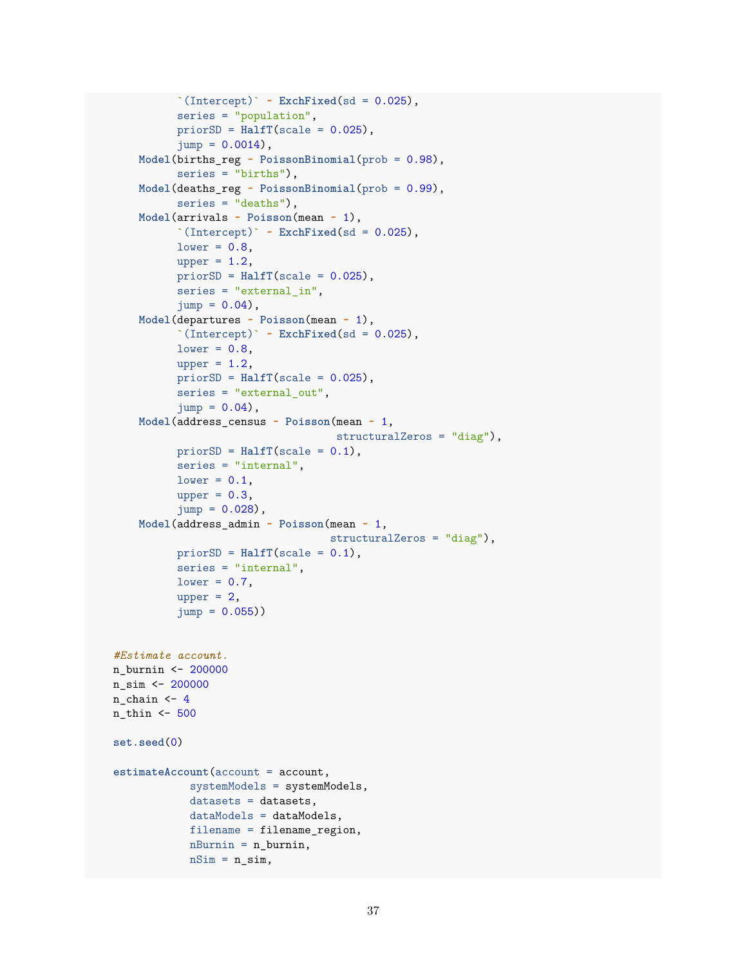```
\Gamma(Intercept)\Gamma ~ ExchFixed(sd = 0.025),
          series = "population",
          priorSD = HalfT(scale = 0.025),
          \text{jump} = 0.0014,
    Model(births_reg ~ PoissonBinomial(prob = 0.98),
          series = "births"),
    Model(deaths_reg ~ PoissonBinomial(prob = 0.99),
          series = "deaths"),
   Model(arrivals ~ Poisson(mean ~ 1),
          `(Intercept)` ~ ExchFixed(sd = 0.025),
          lower = 0.8,upper = 1.2,
          priorSD = HalfT(scale = 0.025),
          series = "external_in",
          jump = 0.04,
   Model(departures ~ Poisson(mean ~ 1),
          `(Intercept)` \sim ExchFixed(sd = 0.025),
          lower = 0.8,
          upper = 1.2,
          priorSD = HalfT(scale = 0.025),
          series = "external out",
          jump = 0.04,
   Model(address_census ~ Poisson(mean ~ 1,
                                    structuralZeros = "diag"),
          priorSD = HalfT(scale = 0.1),
          series = "internal",
          lower = 0.1,
          upper = 0.3,
          jump = 0.028,
    Model(address_admin ~ Poisson(mean ~ 1,
                                  structuralZeros = "diag"),
          priorSD = HalfT(scale = 0.1),series = "internal",
          lower = 0.7,upper = 2,jump = 0.055)#Estimate account.
n_burnin <- 200000
n_sim <- 200000
n_{chain} < 4n_thin <- 500
set.seed(0)
estimateAccount(account = account,
            systemModels = systemModels,
            datasets = datasets,
            dataModels = dataModels,
            filename = filename_region,
            nBurnin = n_burnin,
            nSim = n_sim,
```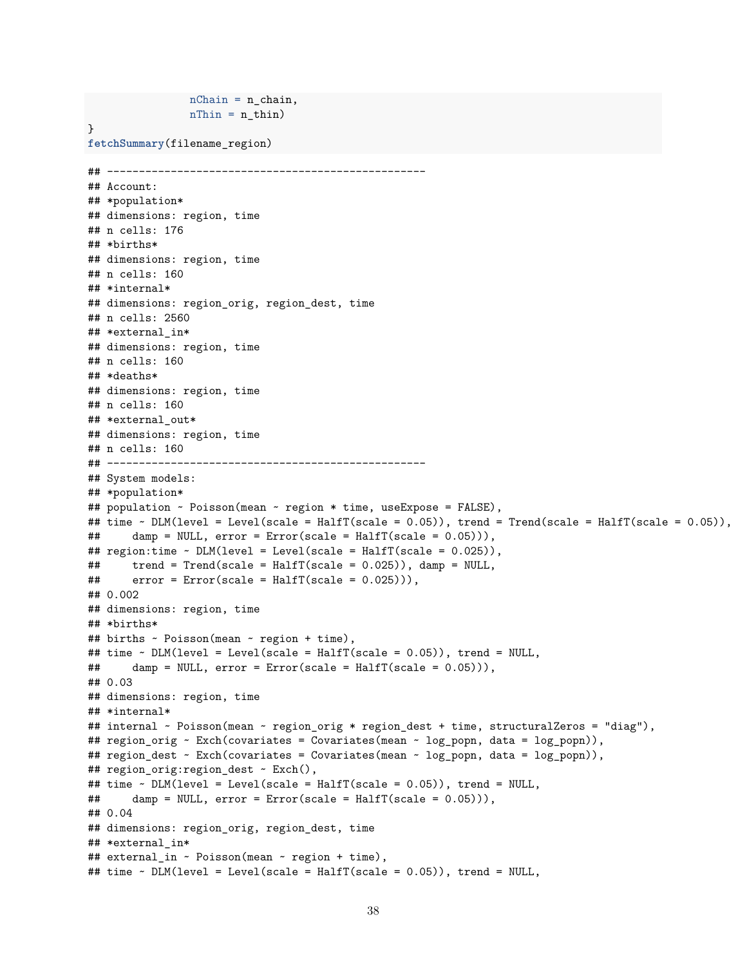```
nChain = n_chain,nThin = n_thin)}
fetchSummary(filename_region)
## --------------------------------------------------
## Account:
## *population*
## dimensions: region, time
## n cells: 176
## *births*
## dimensions: region, time
## n cells: 160
## *internal*
## dimensions: region_orig, region_dest, time
## n cells: 2560
## *external in*
## dimensions: region, time
## n cells: 160
## *deaths*
## dimensions: region, time
## n cells: 160
## *external_out*
## dimensions: region, time
## n cells: 160
## --------------------------------------------------
## System models:
## *population*
## population ~ Poisson(mean ~ region * time, useExpose = FALSE),
## time ~ DLM(level = Level(scale = HalfT(scale = 0.05)), trend = Trend(scale = HalfT(scale = 0.05)),
## damp = NULL, error = Error(scale = HalfT(scale = 0.05))),
## region:time ~ DLM(level = Level(scale = HalfT(scale = 0.025)),
## trend = Trend(scale = HalfT(scale = 0.025)), damp = NULL,
\# error = Error(scale = HalfT(scale = 0.025))),
## 0.002
## dimensions: region, time
## *births*
## births ~ Poisson(mean ~ region + time),
## time ~ DLM(level = Level(scale = HalfT(scale = 0.05)), trend = NULL,
## damp = NULL, error = Error(scale = HalfT(scale = 0.05))),
## 0.03
## dimensions: region, time
## *internal*
## internal ~ Poisson(mean ~ region_orig * region_dest + time, structuralZeros = "diag"),
## region_orig ~ Exch(covariates = Covariates(mean ~ log_popn, data = log_popn)),
## region_dest ~ Exch(covariates = Covariates(mean ~ log_popn, data = log_popn)),
## region_orig:region_dest ~ Exch(),
## time ~ DLM(level = Level(scale = HalfT(scale = 0.05)), trend = NULL,
## damp = NULL, error = Error(scale = HalfT(scale = 0.05))),
## 0.04
## dimensions: region_orig, region_dest, time
## *external in*
## external_in ~ Poisson(mean ~ region + time),
## time ~ DLM(level = Level(scale = HalfT(scale = 0.05)), trend = NULL,
```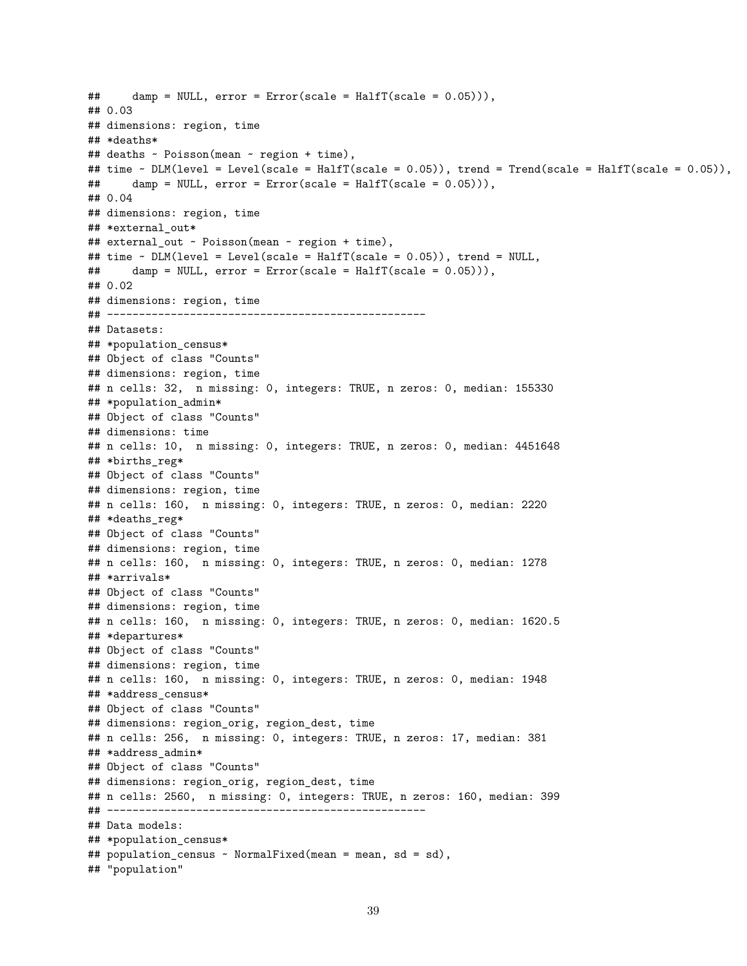```
## damp = NULL, error = Error(scale = HalfT(scale = 0.05))),
## 0.03
## dimensions: region, time
## *deaths*
## deaths ~ Poisson(mean ~ region + time),
## time \sim DLM(level = Level(scale = HalfT(scale = 0.05)), trend = Trend(scale = HalfT(scale = 0.05)),
\# damp = NULL, error = Error(scale = HalfT(scale = 0.05))),
## 0.04
## dimensions: region, time
## *external_out*
## external_out ~ Poisson(mean ~ region + time),
## time ~ DLM(level = Level(scale = HalfT(scale = 0.05)), trend = NULL,
## damp = NULL, error = Error(scale = HalfT(scale = 0.05))),
## 0.02
## dimensions: region, time
## --------------------------------------------------
## Datasets:
## *population_census*
## Object of class "Counts"
## dimensions: region, time
## n cells: 32, n missing: 0, integers: TRUE, n zeros: 0, median: 155330
## *population admin*
## Object of class "Counts"
## dimensions: time
## n cells: 10, n missing: 0, integers: TRUE, n zeros: 0, median: 4451648
## *births_reg*
## Object of class "Counts"
## dimensions: region, time
## n cells: 160, n missing: 0, integers: TRUE, n zeros: 0, median: 2220
## *deaths_reg*
## Object of class "Counts"
## dimensions: region, time
## n cells: 160, n missing: 0, integers: TRUE, n zeros: 0, median: 1278
## *arrivals*
## Object of class "Counts"
## dimensions: region, time
## n cells: 160, n missing: 0, integers: TRUE, n zeros: 0, median: 1620.5
## *departures*
## Object of class "Counts"
## dimensions: region, time
## n cells: 160, n missing: 0, integers: TRUE, n zeros: 0, median: 1948
## *address_census*
## Object of class "Counts"
## dimensions: region_orig, region_dest, time
## n cells: 256, n missing: 0, integers: TRUE, n zeros: 17, median: 381
## *address_admin*
## Object of class "Counts"
## dimensions: region_orig, region_dest, time
## n cells: 2560, n missing: 0, integers: TRUE, n zeros: 160, median: 399
## --------------------------------------------------
## Data models:
## *population_census*
## population_census ~ NormalFixed(mean = mean, sd = sd),
## "population"
```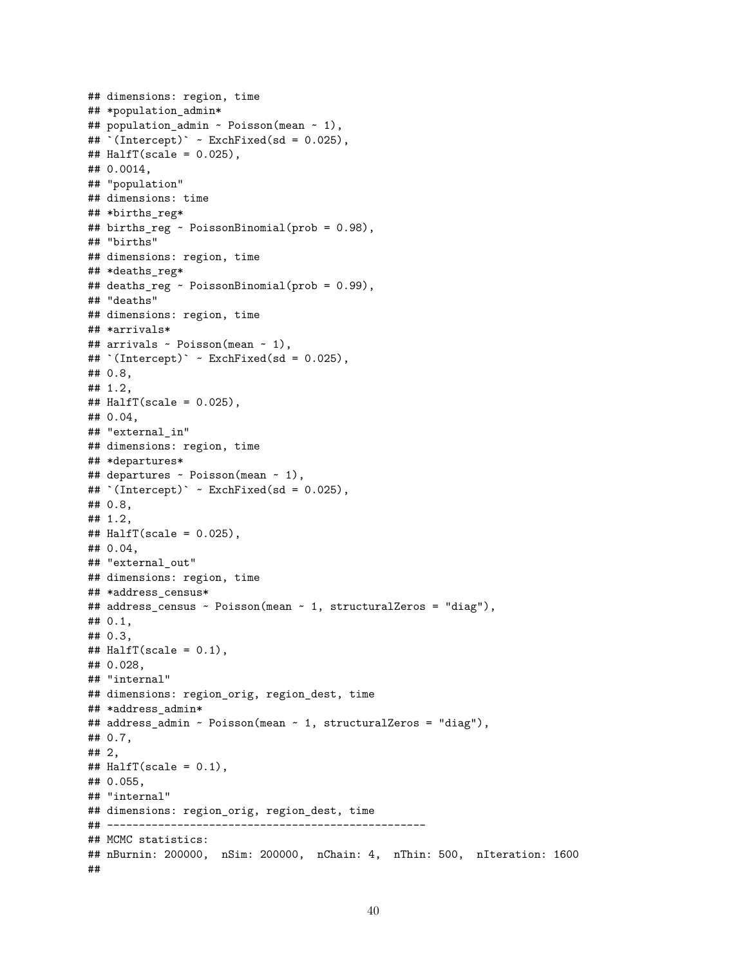```
## dimensions: region, time
## *population_admin*
## population_admin ~ Poisson(mean ~ 1),
## `(Intercept)` ~ ExchFixed(sd = 0.025),
\texttt{\#}\# HalfT(scale = 0.025),
## 0.0014,
## "population"
## dimensions: time
## *births_reg*
## births_reg ~ PoissonBinomial(prob = 0.98),
## "births"
## dimensions: region, time
## *deaths_reg*
## deaths_reg ~ PoissonBinomial(prob = 0.99),
## "deaths"
## dimensions: region, time
## *arrivals*
## arrivals ~ Poisson(mean ~ 1),
\text{#}\text{#} (Intercept) ~ ExchFixed(sd = 0.025),
## 0.8,
## 1.2,
\texttt{\#}\# HalfT(scale = 0.025),
## 0.04,
## "external_in"
## dimensions: region, time
## *departures*
## departures ~ Poisson(mean ~ 1),
## `(Intercept)` ~ ExchFixed(sd = 0.025),
## 0.8,
## 1.2,
\texttt{\#}\# HalfT(scale = 0.025),
## 0.04,
## "external_out"
## dimensions: region, time
## *address census*
## address_census ~ Poisson(mean ~ 1, structuralZeros = "diag"),
## 0.1,
## 0.3,
\texttt{\#}\# HalfT(scale = 0.1),
## 0.028,
## "internal"
## dimensions: region_orig, region_dest, time
## *address_admin*
## address_admin ~ Poisson(mean ~ 1, structuralZeros = "diag"),
## 0.7,
## 2,
\texttt{\#}\# HalfT(scale = 0.1),
## 0.055,
## "internal"
## dimensions: region_orig, region_dest, time
## --------------------------------------------------
## MCMC statistics:
## nBurnin: 200000, nSim: 200000, nChain: 4, nThin: 500, nIteration: 1600
##
```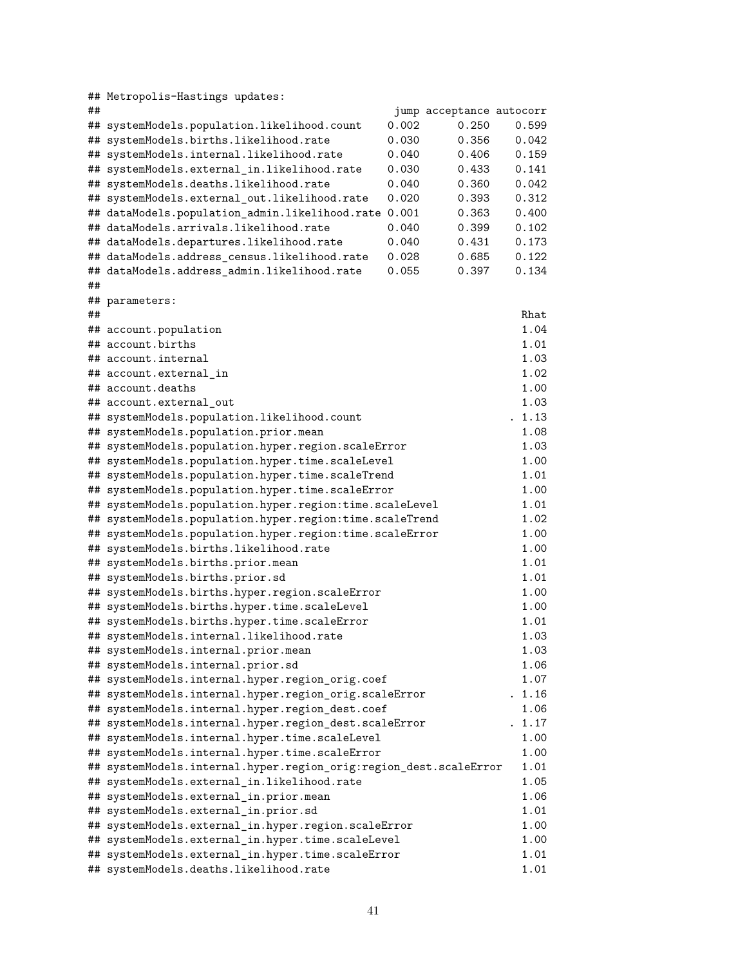|    | ## Metropolis-Hastings updates:                                                                        |       |                          |                |
|----|--------------------------------------------------------------------------------------------------------|-------|--------------------------|----------------|
| ## |                                                                                                        |       | jump acceptance autocorr |                |
| ## | systemModels.population.likelihood.count                                                               | 0.002 | 0.250                    | 0.599          |
| ## | systemModels.births.likelihood.rate                                                                    | 0.030 | 0.356                    | 0.042          |
| ## | systemModels.internal.likelihood.rate                                                                  | 0.040 | 0.406                    | 0.159          |
| ## | systemModels.external_in.likelihood.rate                                                               | 0.030 | 0.433                    | 0.141          |
| ## | systemModels.deaths.likelihood.rate                                                                    | 0.040 | 0.360                    | 0.042          |
| ## | systemModels.external_out.likelihood.rate                                                              | 0.020 | 0.393                    | 0.312          |
|    | ## dataModels.population_admin.likelihood.rate                                                         | 0.001 | 0.363                    | 0.400          |
|    | ## dataModels.arrivals.likelihood.rate                                                                 | 0.040 | 0.399                    | 0.102          |
|    | ## dataModels.departures.likelihood.rate                                                               | 0.040 | 0.431                    | 0.173          |
|    | ## dataModels.address_census.likelihood.rate                                                           | 0.028 | 0.685                    | 0.122          |
|    | ## dataModels.address_admin.likelihood.rate                                                            | 0.055 | 0.397                    | 0.134          |
| ## |                                                                                                        |       |                          |                |
|    | ## parameters:                                                                                         |       |                          |                |
| ## |                                                                                                        |       |                          | Rhat           |
|    | ## account.population                                                                                  |       |                          | 1.04           |
|    | ## account.births                                                                                      |       |                          | 1.01           |
|    | ## account.internal                                                                                    |       |                          | 1.03           |
|    | ## account.external in                                                                                 |       |                          | 1.02           |
|    | ## account.deaths                                                                                      |       |                          | 1.00           |
|    | ## account.external out                                                                                |       |                          | 1.03           |
|    | ## systemModels.population.likelihood.count                                                            |       |                          | . 1.13<br>1.08 |
|    | ## systemModels.population.prior.mean                                                                  |       |                          | 1.03           |
|    | ## systemModels.population.hyper.region.scaleError<br>## systemModels.population.hyper.time.scaleLevel |       |                          | 1.00           |
|    | ## systemModels.population.hyper.time.scaleTrend                                                       |       |                          | 1.01           |
|    | ## systemModels.population.hyper.time.scaleError                                                       |       |                          | 1.00           |
|    | ## systemModels.population.hyper.region:time.scaleLevel                                                |       |                          | 1.01           |
|    | ## systemModels.population.hyper.region:time.scaleTrend                                                |       |                          | 1.02           |
|    | ## systemModels.population.hyper.region:time.scaleError                                                |       |                          | 1.00           |
|    | ## systemModels.births.likelihood.rate                                                                 |       |                          | 1.00           |
|    | ## systemModels.births.prior.mean                                                                      |       |                          | 1.01           |
|    | ## systemModels.births.prior.sd                                                                        |       |                          | 1.01           |
|    | ## systemModels.births.hyper.region.scaleError                                                         |       |                          | 1.00           |
|    | ## systemModels.births.hyper.time.scaleLevel                                                           |       |                          | 1.00           |
|    | ## systemModels.births.hyper.time.scaleError                                                           |       |                          | 1.01           |
|    | ## systemModels.internal.likelihood.rate                                                               |       |                          | 1.03           |
|    | ## systemModels.internal.prior.mean                                                                    |       |                          | 1.03           |
|    | ## systemModels.internal.prior.sd                                                                      |       |                          | 1.06           |
|    | ## systemModels.internal.hyper.region_orig.coef                                                        |       |                          | 1.07           |
|    | ## systemModels.internal.hyper.region_orig.scaleError                                                  |       |                          | . 1.16         |
|    | ## systemModels.internal.hyper.region_dest.coef                                                        |       |                          | 1.06           |
|    | ## systemModels.internal.hyper.region_dest.scaleError                                                  |       |                          | . 1.17         |
|    | ## systemModels.internal.hyper.time.scaleLevel                                                         |       |                          | 1.00           |
|    | ## systemModels.internal.hyper.time.scaleError                                                         |       |                          | 1.00           |
|    | ## systemModels.internal.hyper.region_orig:region_dest.scaleError                                      |       |                          | 1.01           |
|    | ## systemModels.external_in.likelihood.rate                                                            |       |                          | 1.05           |
|    | ## systemModels.external_in.prior.mean                                                                 |       |                          | 1.06           |
|    | ## systemModels.external_in.prior.sd                                                                   |       |                          | 1.01           |
|    | ## systemModels.external_in.hyper.region.scaleError                                                    |       |                          | 1.00           |
|    | ## systemModels.external_in.hyper.time.scaleLevel                                                      |       |                          | 1.00<br>1.01   |
|    | ## systemModels.external_in.hyper.time.scaleError<br>## systemModels.deaths.likelihood.rate            |       |                          | 1.01           |
|    |                                                                                                        |       |                          |                |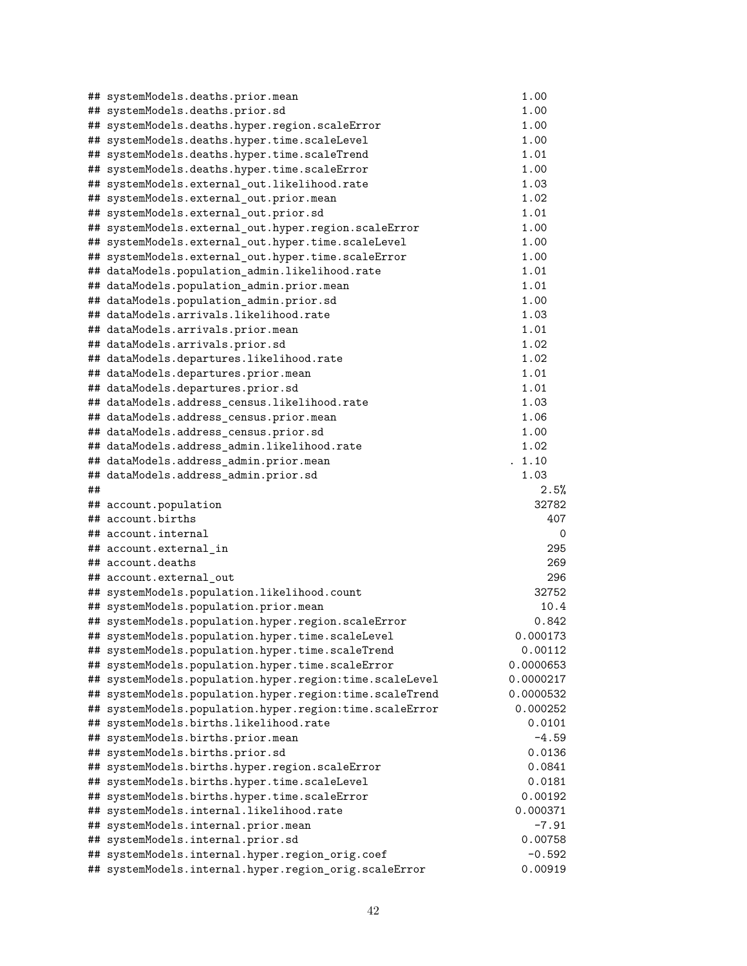|    | ## systemModels.deaths.prior.mean                                      | 1.00         |
|----|------------------------------------------------------------------------|--------------|
|    | ## systemModels.deaths.prior.sd                                        | 1.00         |
|    | ## systemModels.deaths.hyper.region.scaleError                         | 1.00         |
|    | ## systemModels.deaths.hyper.time.scaleLevel                           | 1.00         |
|    | ## systemModels.deaths.hyper.time.scaleTrend                           | 1.01         |
|    | ## systemModels.deaths.hyper.time.scaleError                           | 1.00         |
|    | ## systemModels.external_out.likelihood.rate                           | 1.03         |
|    | ## systemModels.external_out.prior.mean                                | 1.02         |
|    | ## systemModels.external_out.prior.sd                                  | 1.01         |
|    | ## systemModels.external_out.hyper.region.scaleError                   | 1.00         |
|    | ## systemModels.external_out.hyper.time.scaleLevel                     | 1.00         |
|    | ## systemModels.external_out.hyper.time.scaleError                     | 1.00         |
|    | ## dataModels.population_admin.likelihood.rate                         | 1.01         |
|    | ## dataModels.population_admin.prior.mean                              | 1.01         |
|    | ## dataModels.population_admin.prior.sd                                | 1.00         |
|    | ## dataModels.arrivals.likelihood.rate                                 | 1.03         |
|    | ## dataModels.arrivals.prior.mean                                      | 1.01         |
|    | ## dataModels.arrivals.prior.sd                                        | 1.02         |
|    | ## dataModels.departures.likelihood.rate                               | 1.02         |
|    | ## dataModels.departures.prior.mean                                    | 1.01         |
|    | ## dataModels.departures.prior.sd                                      | 1.01         |
|    | ## dataModels.address_census.likelihood.rate                           | 1.03         |
|    | ## dataModels.address_census.prior.mean                                | 1.06         |
|    | ## dataModels.address_census.prior.sd                                  | 1.00         |
|    | ## dataModels.address_admin.likelihood.rate                            | 1.02         |
|    | ## dataModels.address_admin.prior.mean                                 | . 1.10       |
|    | ## dataModels.address_admin.prior.sd                                   | 1.03         |
| ## |                                                                        | 2.5%         |
|    | ## account.population                                                  | 32782        |
|    | ## account.births                                                      | 407          |
|    | ## account.internal                                                    | 0            |
|    | ## account.external_in                                                 | 295          |
|    | ## account.deaths                                                      | 269          |
|    | ## account.external_out<br>## systemModels.population.likelihood.count | 296<br>32752 |
|    | ## systemModels.population.prior.mean                                  | 10.4         |
|    | ## systemModels.population.hyper.region.scaleError                     | 0.842        |
|    | ## systemModels.population.hyper.time.scaleLevel                       | 0.000173     |
|    | ## systemModels.population.hyper.time.scaleTrend                       | 0.00112      |
|    | ## systemModels.population.hyper.time.scaleError                       | 0.0000653    |
|    | ## systemModels.population.hyper.region:time.scaleLevel                | 0.0000217    |
|    | ## systemModels.population.hyper.region:time.scaleTrend                | 0.0000532    |
|    | ## systemModels.population.hyper.region:time.scaleError                | 0.000252     |
|    | ## systemModels.births.likelihood.rate                                 | 0.0101       |
|    | ## systemModels.births.prior.mean                                      | -4.59        |
|    | ## systemModels.births.prior.sd                                        | 0.0136       |
|    | ## systemModels.births.hyper.region.scaleError                         | 0.0841       |
|    | ## systemModels.births.hyper.time.scaleLevel                           | 0.0181       |
|    | ## systemModels.births.hyper.time.scaleError                           | 0.00192      |
|    | ## systemModels.internal.likelihood.rate                               | 0.000371     |
|    | ## systemModels.internal.prior.mean                                    | -7.91        |
|    | ## systemModels.internal.prior.sd                                      | 0.00758      |
|    | ## systemModels.internal.hyper.region_orig.coef                        | $-0.592$     |
|    | ## systemModels.internal.hyper.region_orig.scaleError                  | 0.00919      |
|    |                                                                        |              |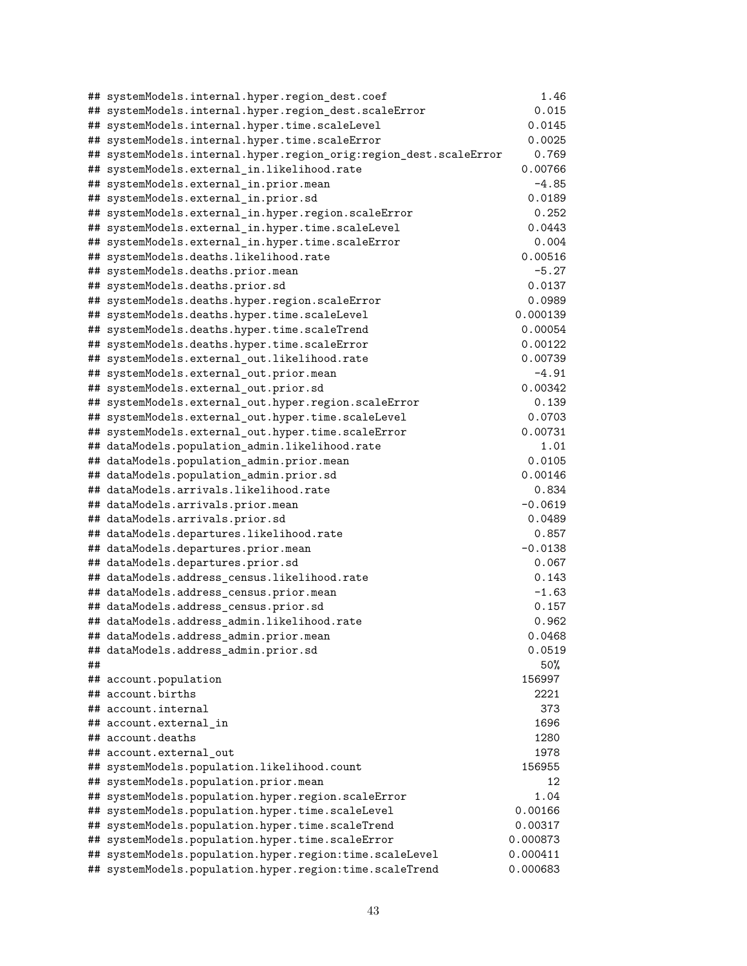|    | ## systemModels.internal.hyper.region_dest.coef                        | 1.46           |
|----|------------------------------------------------------------------------|----------------|
|    | ## systemModels.internal.hyper.region_dest.scaleError                  | 0.015          |
|    | ## systemModels.internal.hyper.time.scaleLevel                         | 0.0145         |
|    | ## systemModels.internal.hyper.time.scaleError                         | 0.0025         |
|    | ## systemModels.internal.hyper.region_orig:region_dest.scaleError      | 0.769          |
|    | ## systemModels.external_in.likelihood.rate                            | 0.00766        |
|    | ## systemModels.external_in.prior.mean                                 | -4.85          |
|    | ## systemModels.external_in.prior.sd                                   | 0.0189         |
|    | ## systemModels.external_in.hyper.region.scaleError                    | 0.252          |
|    | ## systemModels.external_in.hyper.time.scaleLevel                      | 0.0443         |
|    | ## systemModels.external_in.hyper.time.scaleError                      | 0.004          |
|    | ## systemModels.deaths.likelihood.rate                                 | 0.00516        |
|    | ## systemModels.deaths.prior.mean                                      | $-5.27$        |
|    | ## systemModels.deaths.prior.sd                                        | 0.0137         |
|    | ## systemModels.deaths.hyper.region.scaleError                         | 0.0989         |
|    | ## systemModels.deaths.hyper.time.scaleLevel                           | 0.000139       |
|    | ## systemModels.deaths.hyper.time.scaleTrend                           | 0.00054        |
|    | ## systemModels.deaths.hyper.time.scaleError                           | 0.00122        |
|    | ## systemModels.external_out.likelihood.rate                           | 0.00739        |
|    | ## systemModels.external_out.prior.mean                                | $-4.91$        |
|    | ## systemModels.external_out.prior.sd                                  | 0.00342        |
|    | ## systemModels.external_out.hyper.region.scaleError                   | 0.139          |
|    | ## systemModels.external_out.hyper.time.scaleLevel                     | 0.0703         |
|    | ## systemModels.external_out.hyper.time.scaleError                     | 0.00731        |
|    | ## dataModels.population_admin.likelihood.rate                         | 1.01           |
|    | ## dataModels.population_admin.prior.mean                              | 0.0105         |
|    | ## dataModels.population_admin.prior.sd                                | 0.00146        |
|    | ## dataModels.arrivals.likelihood.rate                                 | 0.834          |
|    | ## dataModels.arrivals.prior.mean                                      | $-0.0619$      |
|    | ## dataModels.arrivals.prior.sd                                        | 0.0489         |
|    | ## dataModels.departures.likelihood.rate                               | 0.857          |
|    | ## dataModels.departures.prior.mean                                    | $-0.0138$      |
|    | ## dataModels.departures.prior.sd                                      | 0.067          |
|    | ## dataModels.address_census.likelihood.rate                           | 0.143          |
|    | ## dataModels.address_census.prior.mean                                | $-1.63$        |
|    | ## dataModels.address_census.prior.sd                                  | 0.157          |
|    | ## dataModels.address_admin.likelihood.rate                            | 0.962          |
|    | ## dataModels.address_admin.prior.mean                                 | 0.0468         |
|    | ## dataModels.address_admin.prior.sd                                   | 0.0519         |
| ## |                                                                        | 50%            |
|    | ## account.population                                                  | 156997         |
| ## | account.births                                                         | 2221           |
| ## | account.internal                                                       | 373            |
| ## | account.external in<br>## account.deaths                               | 1696<br>1280   |
|    |                                                                        |                |
|    | ## account.external out<br>## systemModels.population.likelihood.count | 1978<br>156955 |
|    | ## systemModels.population.prior.mean                                  | 12             |
|    | ## systemModels.population.hyper.region.scaleError                     | 1.04           |
|    | ## systemModels.population.hyper.time.scaleLevel                       | 0.00166        |
|    | ## systemModels.population.hyper.time.scaleTrend                       | 0.00317        |
|    | ## systemModels.population.hyper.time.scaleError                       | 0.000873       |
|    | ## systemModels.population.hyper.region:time.scaleLevel                | 0.000411       |
|    | ## systemModels.population.hyper.region:time.scaleTrend                | 0.000683       |
|    |                                                                        |                |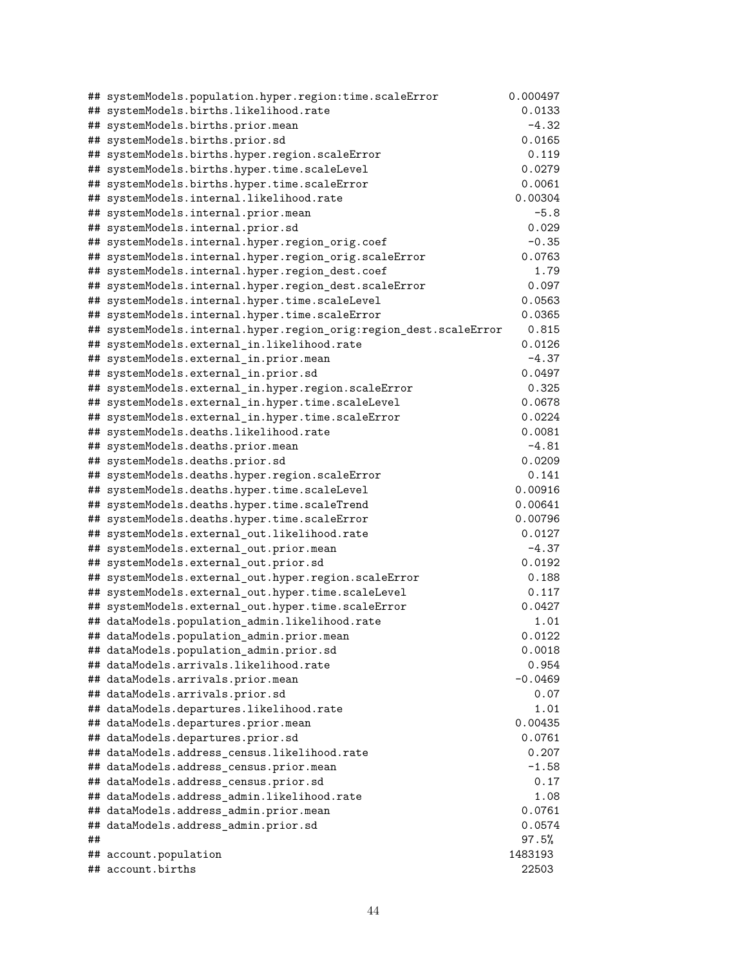|    | ## systemModels.population.hyper.region:time.scaleError                                      | 0.000497        |
|----|----------------------------------------------------------------------------------------------|-----------------|
|    | ## systemModels.births.likelihood.rate                                                       | 0.0133          |
|    | ## systemModels.births.prior.mean                                                            | $-4.32$         |
|    | ## systemModels.births.prior.sd                                                              | 0.0165          |
|    | ## systemModels.births.hyper.region.scaleError                                               | 0.119           |
|    | ## systemModels.births.hyper.time.scaleLevel                                                 | 0.0279          |
|    | ## systemModels.births.hyper.time.scaleError                                                 | 0.0061          |
|    | ## systemModels.internal.likelihood.rate                                                     | 0.00304         |
|    | ## systemModels.internal.prior.mean                                                          | $-5.8$          |
|    | ## systemModels.internal.prior.sd                                                            | 0.029           |
|    | ## systemModels.internal.hyper.region_orig.coef                                              | $-0.35$         |
|    | ## systemModels.internal.hyper.region_orig.scaleError                                        | 0.0763          |
|    | ## systemModels.internal.hyper.region_dest.coef                                              | 1.79            |
|    | ## systemModels.internal.hyper.region_dest.scaleError                                        | 0.097           |
|    | ## systemModels.internal.hyper.time.scaleLevel                                               | 0.0563          |
|    | ## systemModels.internal.hyper.time.scaleError                                               | 0.0365          |
|    | ## systemModels.internal.hyper.region_orig:region_dest.scaleError                            | 0.815           |
|    | ## systemModels.external_in.likelihood.rate                                                  | 0.0126          |
|    | ## systemModels.external_in.prior.mean                                                       | $-4.37$         |
|    | ## systemModels.external_in.prior.sd                                                         | 0.0497          |
|    | ## systemModels.external_in.hyper.region.scaleError                                          | 0.325           |
|    | ## systemModels.external_in.hyper.time.scaleLevel                                            | 0.0678          |
|    | ## systemModels.external_in.hyper.time.scaleError                                            | 0.0224          |
|    | ## systemModels.deaths.likelihood.rate                                                       | 0.0081          |
|    | ## systemModels.deaths.prior.mean                                                            | $-4.81$         |
|    | ## systemModels.deaths.prior.sd                                                              | 0.0209<br>0.141 |
|    | ## systemModels.deaths.hyper.region.scaleError                                               | 0.00916         |
|    | ## systemModels.deaths.hyper.time.scaleLevel<br>## systemModels.deaths.hyper.time.scaleTrend | 0.00641         |
|    | ## systemModels.deaths.hyper.time.scaleError                                                 | 0.00796         |
|    | ## systemModels.external_out.likelihood.rate                                                 | 0.0127          |
|    | ## systemModels.external_out.prior.mean                                                      | $-4.37$         |
|    | ## systemModels.external_out.prior.sd                                                        | 0.0192          |
|    | ## systemModels.external_out.hyper.region.scaleError                                         | 0.188           |
|    | ## systemModels.external_out.hyper.time.scaleLevel                                           | 0.117           |
|    | ## systemModels.external_out.hyper.time.scaleError                                           | 0.0427          |
|    | ## dataModels.population_admin.likelihood.rate                                               | 1.01            |
|    | ## dataModels.population_admin.prior.mean                                                    | 0.0122          |
|    | ## dataModels.population_admin.prior.sd                                                      | 0.0018          |
|    | ## dataModels.arrivals.likelihood.rate                                                       | 0.954           |
|    | ## dataModels.arrivals.prior.mean                                                            | $-0.0469$       |
|    | ## dataModels.arrivals.prior.sd                                                              | 0.07            |
|    | ## dataModels.departures.likelihood.rate                                                     | 1.01            |
|    | ## dataModels.departures.prior.mean                                                          | 0.00435         |
|    | ## dataModels.departures.prior.sd                                                            | 0.0761          |
|    | ## dataModels.address_census.likelihood.rate                                                 | 0.207           |
|    | ## dataModels.address_census.prior.mean                                                      | $-1.58$         |
|    | ## dataModels.address_census.prior.sd                                                        | 0.17            |
|    | ## dataModels.address_admin.likelihood.rate                                                  | 1.08            |
|    | ## dataModels.address_admin.prior.mean                                                       | 0.0761          |
|    | ## dataModels.address_admin.prior.sd                                                         | 0.0574          |
| ## |                                                                                              | 97.5%           |
|    | ## account.population                                                                        | 1483193         |
|    | ## account.births                                                                            | 22503           |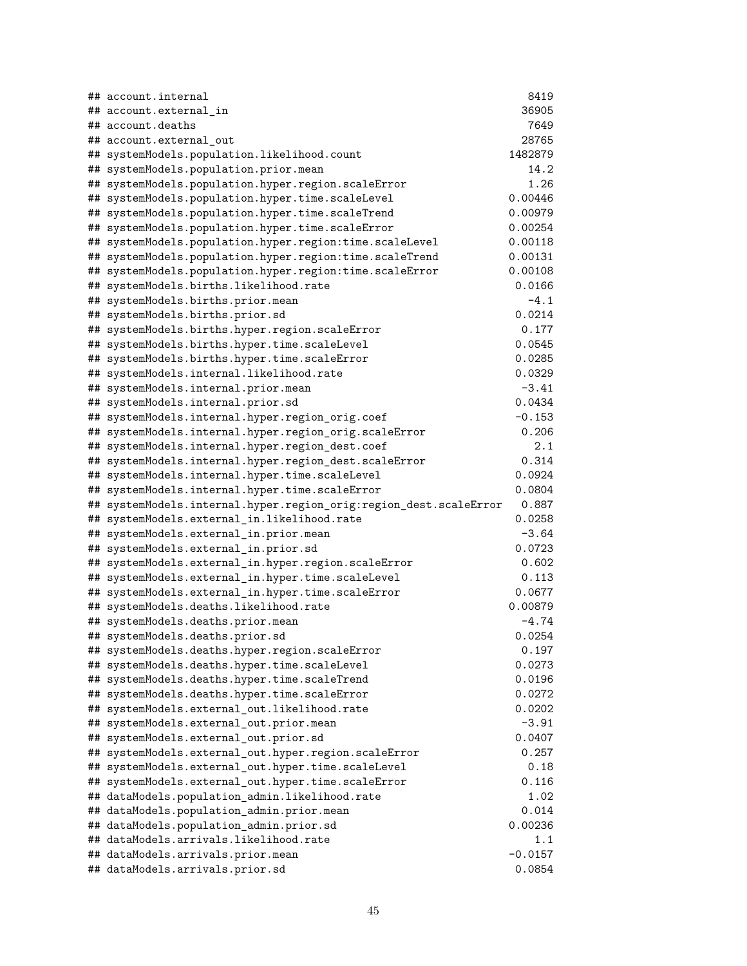| ## account.internal                                                               | 8419           |
|-----------------------------------------------------------------------------------|----------------|
| ## account.external_in                                                            | 36905          |
| ## account.deaths                                                                 | 7649           |
| ## account.external out                                                           | 28765          |
| ## systemModels.population.likelihood.count                                       | 1482879        |
| ## systemModels.population.prior.mean                                             | 14.2           |
| ## systemModels.population.hyper.region.scaleError                                | 1.26           |
| ## systemModels.population.hyper.time.scaleLevel                                  | 0.00446        |
| ## systemModels.population.hyper.time.scaleTrend                                  | 0.00979        |
| ## systemModels.population.hyper.time.scaleError                                  | 0.00254        |
| ## systemModels.population.hyper.region:time.scaleLevel                           | 0.00118        |
| ## systemModels.population.hyper.region:time.scaleTrend                           | 0.00131        |
| ## systemModels.population.hyper.region:time.scaleError                           | 0.00108        |
| ## systemModels.births.likelihood.rate                                            | 0.0166         |
| ## systemModels.births.prior.mean                                                 | $-4.1$         |
| ## systemModels.births.prior.sd                                                   | 0.0214         |
| ## systemModels.births.hyper.region.scaleError                                    | 0.177          |
| ## systemModels.births.hyper.time.scaleLevel                                      | 0.0545         |
| ## systemModels.births.hyper.time.scaleError                                      | 0.0285         |
| ## systemModels.internal.likelihood.rate                                          | 0.0329         |
| ## systemModels.internal.prior.mean                                               | $-3.41$        |
| ## systemModels.internal.prior.sd                                                 | 0.0434         |
| ## systemModels.internal.hyper.region_orig.coef                                   | $-0.153$       |
| ## systemModels.internal.hyper.region_orig.scaleError                             | 0.206          |
| ## systemModels.internal.hyper.region_dest.coef                                   | 2.1            |
| ## systemModels.internal.hyper.region_dest.scaleError                             | 0.314          |
| ## systemModels.internal.hyper.time.scaleLevel                                    | 0.0924         |
| ## systemModels.internal.hyper.time.scaleError                                    | 0.0804         |
| ## systemModels.internal.hyper.region_orig:region_dest.scaleError                 | 0.887          |
| ## systemModels.external_in.likelihood.rate                                       | 0.0258         |
| ## systemModels.external_in.prior.mean                                            | $-3.64$        |
| ## systemModels.external_in.prior.sd                                              | 0.0723         |
| ## systemModels.external_in.hyper.region.scaleError                               | 0.602          |
| ## systemModels.external_in.hyper.time.scaleLevel                                 | 0.113          |
| ## systemModels.external_in.hyper.time.scaleError                                 | 0.0677         |
| ## systemModels.deaths.likelihood.rate                                            | 0.00879        |
| ## systemModels.deaths.prior.mean                                                 | $-4.74$        |
| ## systemModels.deaths.prior.sd                                                   | 0.0254         |
| ## systemModels.deaths.hyper.region.scaleError                                    | 0.197          |
| ## systemModels.deaths.hyper.time.scaleLevel                                      | 0.0273         |
| ## systemModels.deaths.hyper.time.scaleTrend                                      | 0.0196         |
| ## systemModels.deaths.hyper.time.scaleError                                      | 0.0272         |
| ## systemModels.external_out.likelihood.rate                                      | 0.0202         |
| ## systemModels.external_out.prior.mean                                           | $-3.91$        |
| ## systemModels.external_out.prior.sd                                             | 0.0407         |
| ## systemModels.external_out.hyper.region.scaleError                              | 0.257          |
| ## systemModels.external_out.hyper.time.scaleLevel                                | 0.18           |
| ## systemModels.external_out.hyper.time.scaleError                                | 0.116          |
| ## dataModels.population_admin.likelihood.rate                                    | 1.02           |
| ## dataModels.population_admin.prior.mean                                         | 0.014          |
| ## dataModels.population_admin.prior.sd<br>## dataModels.arrivals.likelihood.rate | 0.00236<br>1.1 |
|                                                                                   | $-0.0157$      |
| ## dataModels.arrivals.prior.mean                                                 | 0.0854         |
| ## dataModels.arrivals.prior.sd                                                   |                |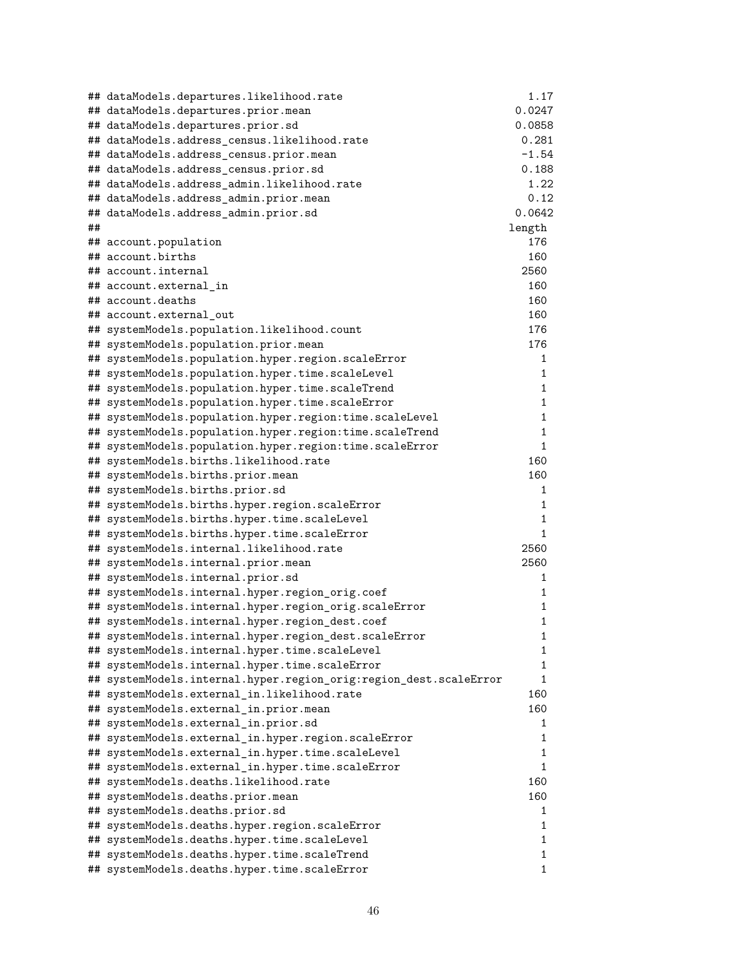|    | ## dataModels.departures.likelihood.rate                          | 1.17    |
|----|-------------------------------------------------------------------|---------|
|    | ## dataModels.departures.prior.mean                               | 0.0247  |
|    | ## dataModels.departures.prior.sd                                 | 0.0858  |
|    | ## dataModels.address_census.likelihood.rate                      | 0.281   |
|    | ## dataModels.address_census.prior.mean                           | $-1.54$ |
|    | ## dataModels.address_census.prior.sd                             | 0.188   |
|    | ## dataModels.address_admin.likelihood.rate                       | 1.22    |
|    | ## dataModels.address_admin.prior.mean                            | 0.12    |
|    | ## dataModels.address_admin.prior.sd                              | 0.0642  |
| ## |                                                                   | length  |
|    | ## account.population                                             | 176     |
|    | ## account.births                                                 | 160     |
|    | ## account.internal                                               | 2560    |
|    | ## account.external in                                            | 160     |
|    | ## account.deaths                                                 | 160     |
|    | ## account.external out                                           | 160     |
|    | ## systemModels.population.likelihood.count                       | 176     |
|    | ## systemModels.population.prior.mean                             | 176     |
|    | ## systemModels.population.hyper.region.scaleError                | 1       |
|    | ## systemModels.population.hyper.time.scaleLevel                  | 1       |
|    | ## systemModels.population.hyper.time.scaleTrend                  | 1       |
|    | ## systemModels.population.hyper.time.scaleError                  | 1       |
|    | ## systemModels.population.hyper.region:time.scaleLevel           | 1       |
|    | ## systemModels.population.hyper.region:time.scaleTrend           | 1       |
|    | ## systemModels.population.hyper.region:time.scaleError           | 1       |
|    | ## systemModels.births.likelihood.rate                            | 160     |
|    | ## systemModels.births.prior.mean                                 | 160     |
|    | ## systemModels.births.prior.sd                                   | 1       |
|    | ## systemModels.births.hyper.region.scaleError                    | 1       |
|    | ## systemModels.births.hyper.time.scaleLevel                      | 1       |
|    | ## systemModels.births.hyper.time.scaleError                      | 1       |
|    | ## systemModels.internal.likelihood.rate                          | 2560    |
|    | ## systemModels.internal.prior.mean                               | 2560    |
|    | ## systemModels.internal.prior.sd                                 | 1       |
|    | ## systemModels.internal.hyper.region_orig.coef                   | 1       |
|    | ## systemModels.internal.hyper.region_orig.scaleError             | 1       |
|    | ## systemModels.internal.hyper.region_dest.coef                   | 1       |
|    | ## systemModels.internal.hyper.region_dest.scaleError             | 1       |
|    | ## systemModels.internal.hyper.time.scaleLevel                    | 1       |
|    | ## systemModels.internal.hyper.time.scaleError                    | 1       |
|    | ## systemModels.internal.hyper.region_orig:region_dest.scaleError | 1       |
|    | ## systemModels.external_in.likelihood.rate                       | 160     |
|    | ## systemModels.external_in.prior.mean                            | 160     |
|    | ## systemModels.external_in.prior.sd                              | 1       |
|    | ## systemModels.external_in.hyper.region.scaleError               | 1       |
|    | ## systemModels.external_in.hyper.time.scaleLevel                 | 1       |
|    | ## systemModels.external_in.hyper.time.scaleError                 | 1       |
|    | ## systemModels.deaths.likelihood.rate                            | 160     |
|    | ## systemModels.deaths.prior.mean                                 | 160     |
|    | ## systemModels.deaths.prior.sd                                   | 1       |
|    | ## systemModels.deaths.hyper.region.scaleError                    | 1       |
|    | ## systemModels.deaths.hyper.time.scaleLevel                      | 1       |
|    | ## systemModels.deaths.hyper.time.scaleTrend                      | 1       |
|    | ## systemModels.deaths.hyper.time.scaleError                      | 1       |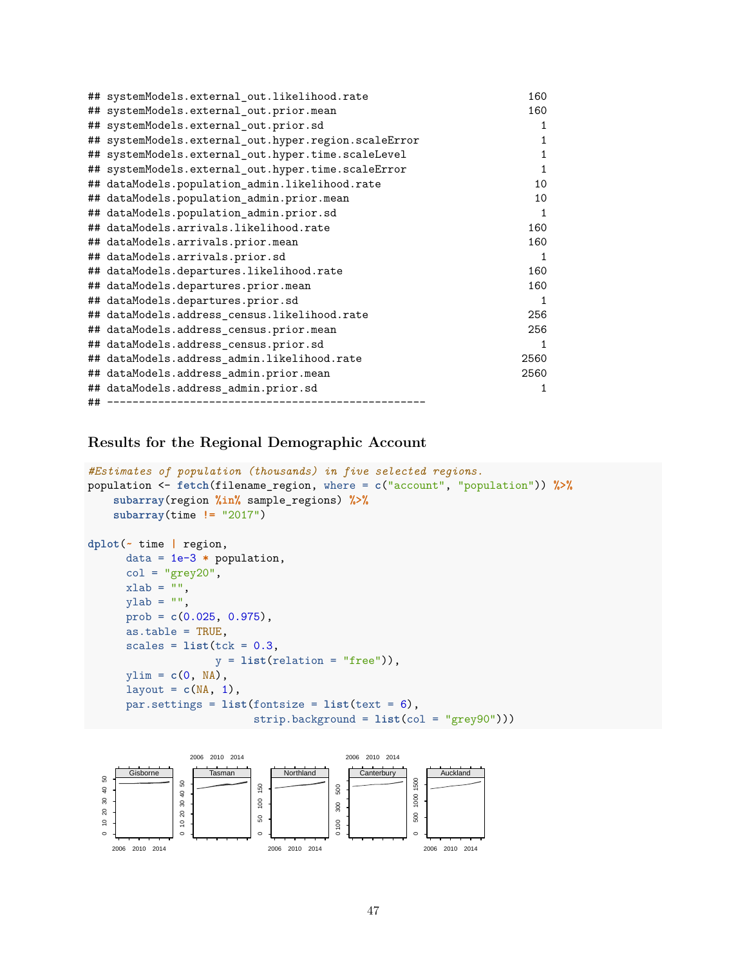|    | ## systemModels.external out.likelihood.rate         | 160  |
|----|------------------------------------------------------|------|
|    | ## systemModels.external_out.prior.mean              | 160  |
|    | ## systemModels.external_out.prior.sd                | 1    |
|    | ## systemModels.external_out.hyper.region.scaleError | 1    |
|    | ## systemModels.external_out.hyper.time.scaleLevel   | 1    |
|    | ## systemModels.external_out.hyper.time.scaleError   | 1    |
|    | ## dataModels.population_admin.likelihood.rate       | 10   |
|    | ## dataModels.population admin.prior.mean            | 10   |
|    | ## dataModels.population admin.prior.sd              | 1    |
|    | ## dataModels.arrivals.likelihood.rate               | 160  |
|    | ## dataModels.arrivals.prior.mean                    | 160  |
|    | ## dataModels.arrivals.prior.sd                      | 1    |
|    | ## dataModels.departures.likelihood.rate             | 160  |
|    | ## dataModels.departures.prior.mean                  | 160  |
|    | ## dataModels.departures.prior.sd                    | 1    |
|    | ## dataModels.address_census.likelihood.rate         | 256  |
|    | ## dataModels.address_census.prior.mean              | 256  |
|    | ## dataModels.address_census.prior.sd                | 1    |
|    | ## dataModels.address_admin.likelihood.rate          | 2560 |
|    | ## dataModels.address_admin.prior.mean               | 2560 |
|    | ## dataModels.address admin.prior.sd                 | 1    |
| ## |                                                      |      |

**Results for the Regional Demographic Account**

```
#Estimates of population (thousands) in five selected regions.
population <- fetch(filename_region, where = c("account", "population")) %>%
    subarray(region %in% sample_regions) %>%
    subarray(time != "2017")
dplot(~ time | region,
      data = 1e-3 * population,
      col = "grey20",xlab = "",
      vlab = "".
     prob = c(0.025, 0.975),
      as.table = TRUE,
      scales = list(tck = 0.3,y = list(relation = "free")),
     ylim = c(0, NA),
      layout = c(NA, 1),
      par.settings = list(fontsize = list(text = 6),strip.background = list(col = "grey90")))
```
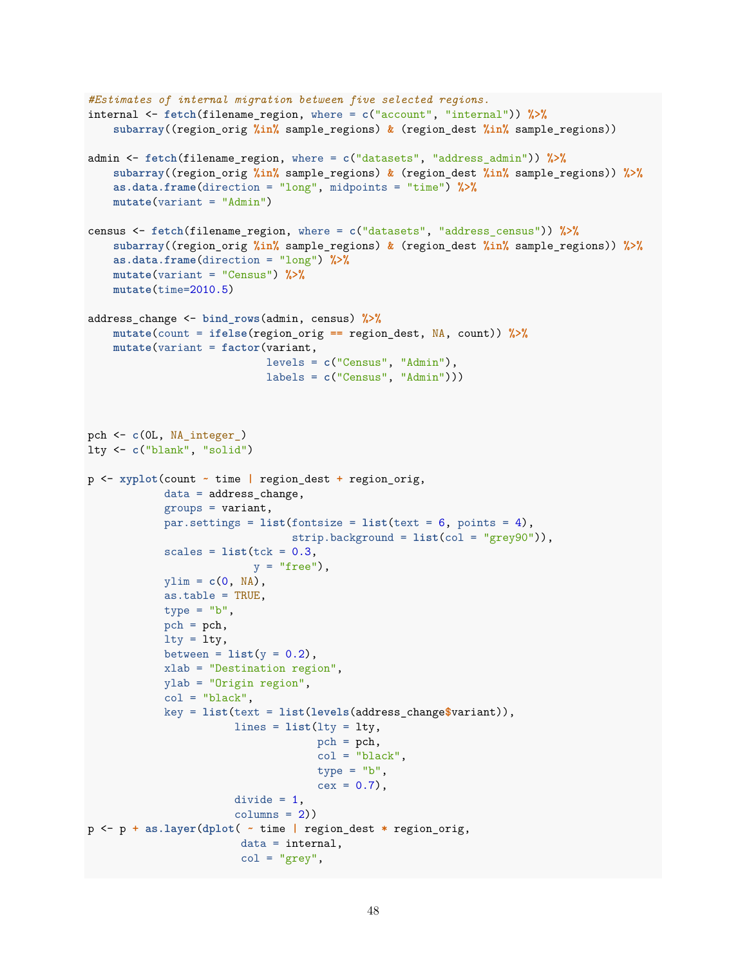```
#Estimates of internal migration between five selected regions.
internal <- fetch(filename_region, where = c("account", "internal")) %>%
    subarray((region_orig %in% sample_regions) & (region_dest %in% sample_regions))
admin <- fetch(filename_region, where = c("datasets", "address_admin")) %>%
    subarray((region_orig %in% sample_regions) & (region_dest %in% sample_regions)) %>%
    as.data.frame(direction = "long", midpoints = "time") %>%
    mutate(variant = "Admin")
census <- fetch(filename_region, where = c("datasets", "address_census")) %>%
    subarray((region_orig %in% sample_regions) & (region_dest %in% sample_regions)) %>%
    as.data.frame(direction = "long") %>%
    mutate(variant = "Census") %>%
    mutate(time=2010.5)
address_change <- bind_rows(admin, census) %>%
    mutate(count = ifelse(region_orig == region_dest, NA, count)) %>%
    mutate(variant = factor(variant,
                            levels = c("Census", "Admin"),
                            labels = c("Census", "Admin")))
pch <- c(0L, NA_integer_)
lty <- c("blank", "solid")
p <- xyplot(count ~ time | region_dest + region_orig,
            data = address_change,
            groups = variant,
            par.settings = list(fontsize = list(text = 6, points = 4),
                               strip.background = list(col = "grey90")),
            scales = list(tck = 0.3,y = "free"),
            ylim = c(0, NA),
            as.table = TRUE,
            type = "b",
            pch = pch,
            lty = lty,
            between = list(y = 0.2),
            xlab = "Destination region",
            ylab = "Origin region",
            col = "black",key = list(text = list(levels(address_change$variant)),
                       lines = list(lty = lty,pch = pch,
                                    col = "black",type = "b",
                                    cex = 0.7,
                       divide = 1,
                       columns = 2)p <- p + as.layer(dplot( ~ time | region_dest * region_orig,
                        data = internal,
                        col = "grey",
```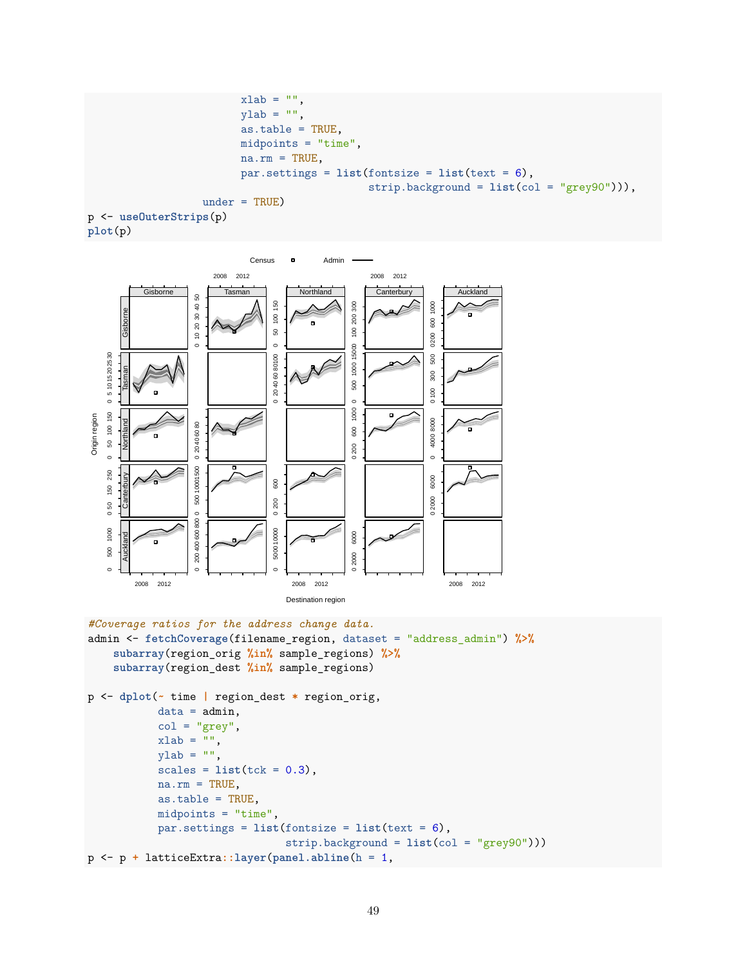```
xlab = "".
                        ylab = "",
                        as.table = TRUE,
                        midpoints = "time",
                        na.rm = TRUE,par.settings = list(fontsize = list(text = 6),
                                             strip.background = list(col = "grey90"))),
                  under = TRUE)
p <- useOuterStrips(p)
```




```
#Coverage ratios for the address change data.
admin <- fetchCoverage(filename_region, dataset = "address_admin") %>%
    subarray(region_orig %in% sample_regions) %>%
    subarray(region_dest %in% sample_regions)
p <- dplot(~ time | region_dest * region_orig,
           data = admin,
           col = "grey",xlab = "",
           ylab = "",
           scales = list(tck = 0.3),na.rm = TRUE,as.table = TRUE,
           midpoints = "time",
           par.settings = list(fontsize = list(text = 6),
                               strip.background = list(col = "grey90")))
p <- p + latticeExtra::layer(panel.abline(h = 1,
```